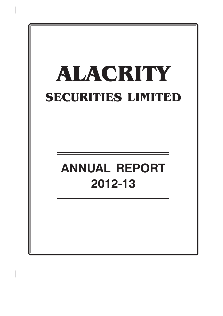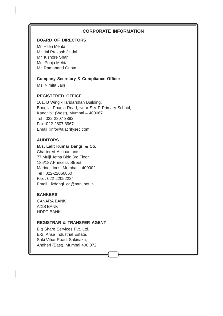## **CORPORATE INFORMATION**

## **BOARD OF DIRECTORS**

Mr. Hiten Mehta Mr. Jai Prakash Jindal Mr. Kishore Shah Ms .Pooja Mehta Mr. Ramanand Gupta

#### **Company Secretary & Compliance Officer**

Ms. Nimita Jain

## **REGISTERED OFFICE**

101, B Wing -Haridarshan Building, Bhogilal Phadia Road, Near S V P Primary School, Kandivali (West), Mumbai – 400067 Tel : 022-2807 3882 Fax :022-2807 3967 Email :info@alacritysec.com

## **AUDITORS**

## **M/s. Lalit Kumar Dangi & Co.**

Chartered Accountants 77,Mulji Jetha Bldg,3rd Floor, 185/187,Princess Street, Marine Lines, Mumbai – 400002 Tel : 022-22066860 Fax : 022-22052224 Email : lkdangi\_ca@mtnl.net.in

## **BANKERS**

CANARA BANK AXIS BANK HDFC BANK

## **REGISTRAR & TRANSFER AGENT**

Big Share Services Pvt. Ltd. E-2, Ansa Industrial Estate, Saki Vihar Road, Sakinaka, Andheri (East), Mumbai 400 072.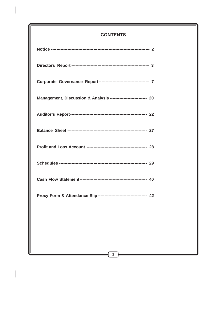# **CONTENTS**

| Management, Discussion & Analysis -------------------------- 20 |
|-----------------------------------------------------------------|
|                                                                 |
|                                                                 |
|                                                                 |
|                                                                 |
|                                                                 |
|                                                                 |
|                                                                 |
|                                                                 |

 $\overline{1}$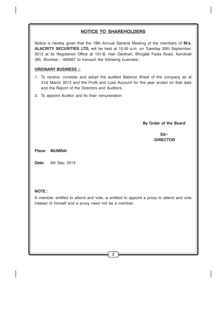# NOTICE TO SHAREHOLDERS

Notice is hereby given that the 19th Annual General Meeting of the members of M/s. ALACRITY SECURITIES LTD, will be held at 10.00 a.m. on Tuesday 30th September, 2013 at its Registered Office at 101-B, Hari Darshan, Bhogilal Fadia Road, Kandivali (W), Mumbai  $-$  400067 to transact the following business:-

## ORDINARY BUSINESS :-

- 1. To receive, consider and adopt the audited Balance Sheet of the company as at 31st March 2013 and the Profit and Loss Account for the year ended on that date and the Report of the Directors and Auditors.
- 2. To appoint Auditor and fix their remuneration

By Order of the Board

Sd/- DIRECTOR

Place: MUMBAI

Date: 4th Sep. 2013

## NOTE :

A member, entitled to attend and vote, is entitled to appoint a proxy to attend and vote instead of himself and a proxy need not be a member.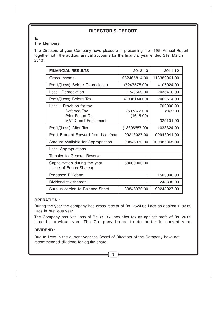# DIRECTOR'S REPORT

#### To

## The Members,

The Directors of your Company have pleasure in presenting their 19th Annual Report together with the audited annual accounts for the financial year ended 31st March 2013.

| <b>FINANCIAL RESULTS</b>                                                                              | 2012-13                  | 2011-12                           |
|-------------------------------------------------------------------------------------------------------|--------------------------|-----------------------------------|
| Gross Income                                                                                          | 262465814.00             | 118389961.00                      |
| Profit/(Loss) Before Depreciation                                                                     | (7247575.00)             | 4106024.00                        |
| Depreciation<br>Less:                                                                                 | 1748569.00               | 2036410.00                        |
| Profit/(Loss) Before Tax                                                                              | (8996144.00)             | 2069614.00                        |
| Less: - Provision for tax<br>Deferred Tax<br><b>Prior Period Tax</b><br><b>MAT Credit Entitlement</b> | (597872.00)<br>(1615.00) | 700000.00<br>2189.00<br>329101.00 |
| Profit/(Loss) After Tax                                                                               | 8396657.00)              | 1038324.00                        |
| Profit Brought Forward from Last Year                                                                 | 99243027.00              | 99948041.00                       |
| Amount Available for Appropriation                                                                    | 90846370.00              | 100986365.00                      |
| Less: Appropriations                                                                                  |                          |                                   |
| Transfer to General Reserve                                                                           |                          |                                   |
| Capitalization during the year<br>(Issue of Bonus Shares)                                             | 60000000.00              |                                   |
| Proposed Dividend                                                                                     |                          | 1500000.00                        |
| Dividend tax thereon                                                                                  |                          | 243338.00                         |
| Surplus carried to Balance Sheet                                                                      | 30846370.00              | 99243027.00                       |

## OPERATION :

During the year the company has gross receipt of Rs. 2624.65 Lacs as against 1183.89 Lacs in previous year.

The Company has Net Loss of Rs. 89.96 Lacs after tax as against profit of Rs. 20.69 Lacs in previous year The Company hopes to do better in current year.

# DIVIDEND :

Due to Loss in the current year the Board of Directors of the Company have not recommended dividend for equity share.

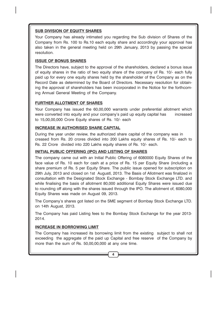## SUB DIVISION OF EQUITY SHARES

Your Company has already intimated you regarding the Sub division of Shares of the Company from Rs. 100 to Rs.10 each equity share and accordingly your approval has also taken in the general meeting held on 29th January, 2013 by passing the special resolution.

## ISSUE OF BONUS SHARES

The Directors have, subject to the approval of the shareholders, declared a bonus issue of equity shares in the ratio of two equity share of the company of Rs. 10/- each fully paid up for every one equity shares held by the shareholder of the Company as on the Record Date as determined by the Board of Directors. Necessary resolution for obtaining the approval of shareholders has been incorporated in the Notice for the forthcoming Annual General Meeting of the Company.

## FURTHER ALLOTMENT OF SHARES

Your Company has issued the 60,00,000 warrants under preferential allotment which were converted into equity and your company's paid up equity capital has increased to 15,00,00,000 Crore Equity shares of Rs. 10/- each

## INCREASE IN AUTHORISED SHARE CAPITAL

During the year under review, the authorized share capital of the company was in creased from Rs. 20 crores divided into 200 Lakhs equity shares of Rs. 10/- each to Rs. 22 Crore divided into 220 Lakhs equity shares of Rs. 10/- each.

## INITIAL PUBLIC OFFERING (IPO) AND LISTING OF SHARES

The company came out with an Initial Public Offering of 6080000 Equity Shares of the face value of Rs. 10 each for cash at a price of Rs. 15 per Equity Share (including a share premium of Rs. 5 per Equity Share. The public issue opened for subscription on 29th July, 2013 and closed on 1st Augustl, 2013. The Basis of Allotment was finalized in consultation with the Designated Stock Exchange - Bombay Stock Exchange LTD. and while finalising the basis of allotment 80,000 additional Equity Shares were issued due to rounding off along with the shares issued through the IPO. The allotment of, 6080,000 Equity Shares was made on August 09, 2013.

The Company's shares got listed on the SME segment of Bombay Stock Exchange LTD. on 14th August, 2013.

The Company has paid Listing fees to the Bombay Stock Exchange for the year 2013- 2014.

#### INCREASE IN BORROWING LIMIT

The Company has increased its borrowing limit from the existing subject to shall not exceeding the aggregate of the paid up Capital and free reserve of the Company by more than the sum of Rs. 50,00,00,000 at any one time.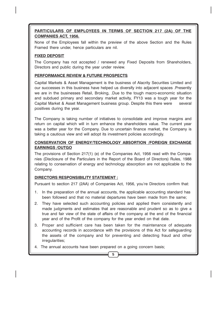## PARTICULARS OF EMPLOYEES IN TERMS OF SECTION 217 (2A) OF THE COMPANIES ACT, 1956.

None of the Employees fall within the preview of the above Section and the Rules Framed there under, hence particulars are nil.

## FIXED DEPOSIT

The Company has not accepted / renewed any Fixed Deposits from Shareholders, Directors and public during the year under review.

## PERFORMANCE REVIEW & FUTURE PROSPECTS

Capital Markets & Asset Management is the business of Alacrity Securities Limited and our successes in this business have helped us diversify into adjacent spaces .Presently we are in the businesses Retail, Broking, .Due to the tough macro-economic situation and subdued primary and secondary market activity, FY13 was a tough year for the Capital Market & Asset Management business group. Despite this there were several positives during the year.

The Company is taking number of initiatives to consolidate and improve margins and return on capital which will in turn enhance the shareholders value. The current year was a better year for the Company. Due to uncertain finance market, the Company is taking a cautious view and will adopt its investment policies accordingly.

## CONSERVATION OF ENERGY/TECHNOLOGY ABSORTION /FOREIGN EXCHANGE EARNINGS /OUTGO

The provisions of Section 217(1) (e) of the Companies Act, 1956 read with the Companies (Disclosure of the Particulars in the Report of the Board of Directors) Rules, 1988 relating to conservation of energy and technology absorption are not applicable to the Company.

## DIRECTORS RESPONSIBILITY STATEMENT :

Pursuant to section 217 (2AA) of Companies Act, 1956, youre Directors confirm that:

- 1. In the preparation of the annual accounts, the applicable accounting standard has been followed and that no material departures have been made from the same;
- 2. They have selected such accounting policies and applied them consistently and made judgments and estimates that are reasonable and prudent so as to give a true and fair view of the state of affairs of the company at the end of the financial year and of the Profit of the company for the year ended on that date.
- 3. Proper and sufficient care has been taken for the maintenance of adequate accounting records in accordance with the provisions of this Act for safeguarding the assets of the company and for preventing and detecting fraud and other irregularities;

**5**

4. The annual accounts have been prepared on a going concern basis;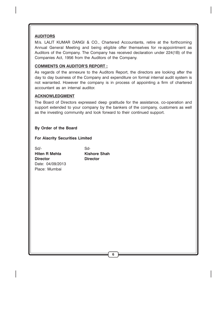## **AUDITORS**

M/s. LALIT KUMAR DANGI & CO., Chartered Accountants, retire at the forthcoming Annual General Meeting and being eligible offer themselves for re-appointment as Auditors of the Company. The Company has received declaration under 224(1B) of the Companies Act, 1956 from the Auditors of the Company.

## **COMMENTS ON AUDITOR'S REPORT :**

As regards of the annexure to the Auditors Report, the directors are looking after the day to day business of the Company and expenditure on formal internal audit system is not warranted. However the company is in process of appointing a firm of chartered accountant as an internal auditor.

## ACKNOWLEDGMENT

The Board of Directors expressed deep gratitude for the assistance, co-operation and support extended to your company by the bankers of the company, customers as well as the investing community and look forward to their continued support.

## By Order of the Board

## For Alacrity Securities Limited

Sd/- Sd-Hiten R Mehta Kishore Shah Director Director Date: 04/09/2013 Place: Mumbai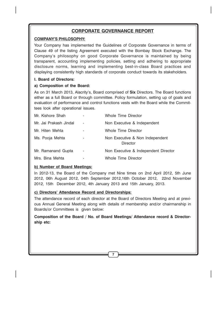# CORPORATE GOVERNANCE REPORT

## COMPANYS PHILOSOPHY:

Your Company has implemented the Guidelines of Corporate Governance in terms of Clause 49 of the listing Agreement executed with the Bombay Stock Exchange. The Company's philosophy on good Corporate Governance is maintained by being transparent, accounting implementing policies, setting and adhering to appropriate disclosure norms, learning and implementing best-in-class Board practices and displaying consistently high standards of corporate conduct towards its stakeholders.

## I. Board of Directors:

## a) Composition of the Board:

As on 31 March 2013, Alacrity's, Board comprised of Six Directors. The Board functions either as a full Board or through committee. Policy formulation, setting up of goals and evaluation of performance and control functions vests with the Board while the Committees look after operational issues.

| Mr. Kishore Shah       | ٠                        | Whole Time Director                                |
|------------------------|--------------------------|----------------------------------------------------|
| Mr. Jai Prakash Jindal | $\overline{\phantom{m}}$ | Non Executive & Independent                        |
| Mr. Hiten Mehta        |                          | Whole Time Director                                |
| Ms. Pooja Mehta        | ٠                        | Non Executive & Non Independent<br><b>Director</b> |
| Mr. Ramanand Gupta     | ٠                        | Non Executive & Independent Director               |
| Mrs. Bina Mehta        | ٠                        | Whole Time Director                                |

## b) Number of Board Meetings:

In 2012-13, the Board of the Company met Nine times on 2nd April 2012, 5th June 2012, 06h August 2012, 04th September 2012,16th October 2012, 22nd November 2012, 15th December 2012, 4th January 2013 and 15th January, 2013.

## c) Directors' Attendance Record and Directorships:

The attendance record of each director at the Board of Directors Meeting and at previous Annual General Meeting along with details of membership and/or chairmanship in Boards/or Committees is given below:

Composition of the Board / No. of Board Meetings/ Attendance record & Directorship etc: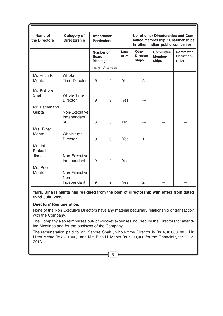| Name of<br>the Directors     | <b>Category of</b><br><b>Directorship</b>  | <b>Attendance</b><br><b>Particulars</b>                            |                 |                             | No. of other Directorships and Com-<br>mittee membership / Chairmanships<br>in other Indian public companies |                                        |  |
|------------------------------|--------------------------------------------|--------------------------------------------------------------------|-----------------|-----------------------------|--------------------------------------------------------------------------------------------------------------|----------------------------------------|--|
|                              |                                            | Last<br>Number of<br><b>AGM</b><br><b>Board</b><br><b>Meetings</b> |                 | Other<br>Director-<br>ships | <b>Committee</b><br>Member-<br>ships                                                                         | <b>Committee</b><br>Chairman-<br>ships |  |
|                              |                                            | <b>Held</b>                                                        | <b>Attended</b> |                             |                                                                                                              |                                        |  |
| Mr. Hiten R.<br>Mehta        | Whole<br><b>Time Director</b>              | 9                                                                  | 9               | Yes                         | 5                                                                                                            |                                        |  |
| Mr. Kishore<br>Shah          | <b>Whole Time</b><br><b>Director</b>       | 9                                                                  | 9               | Yes                         |                                                                                                              |                                        |  |
| Mr. Ramanand<br>Gupta        | Non-Executive<br>Independant<br>nt         | 3                                                                  | 3               | <b>No</b>                   |                                                                                                              |                                        |  |
| Mrs. Bina*<br>Mehta          | Whole time<br><b>Director</b>              | 9                                                                  | 9               | Yes                         | $\mathbf{1}$                                                                                                 |                                        |  |
| Mr. Jai<br>Prakash<br>Jindal | Non-Executive<br>Independant               | 9                                                                  | 9               | Yes                         |                                                                                                              |                                        |  |
| Ms. Pooja<br>Mehta           | Non-Executive<br><b>Non</b><br>Independant | 9                                                                  | 9               | Yes                         | $\overline{2}$                                                                                               |                                        |  |

## \*Mrs. Bina H Mehta has resigned from the post of directorship with effect from dated 22nd July ,2013.

## **Directors' Remuneration:**

None of the Non Executive Directors have any material pecuniary relationship or transaction with the Company.

The Company also reimburses out- of -pocket expenses incurred by the Directors for attending Meetings and for the business of the Company.

The remuneration paid to Mr. Kishore Shah , whole time Director is Rs 4,38,000,.00 Mr. Hiten Mehta Rs.3,30,000/- and Mrs Bina H. Mehta Rs. 9,00,000 for the Financial year 2012- 2013.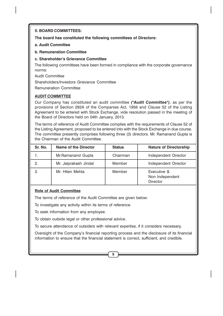## II. BOARD COMMITTEES:

The board has constituted the following committees of Directors:

- a. Audit Committee
- b. Remuneration Committee

## c. Shareholder's Grievance Committee

The following committees have been formed in compliance with the corporate governance norms:

Audit Committee

Shareholders/Investors Grievance Committee

Remuneration Committee

## AUDIT COMMITTEE

Our Company has constituted an audit committee ("Audit Committee"), as per the provisions of Section 292A of the Companies Act, 1956 and Clause 52 of the Listing Agreement to be entered with Stock Exchange, vide resolution passed in the meeting of the Board of Directors held on 04th January, 2013.

The terms of reference of Audit Committee complies with the requirements of Clause 52 of the Listing Agreement, proposed to be entered into with the Stock Exchange in due course. The committee presently comprises following three (3) directors. Mr. Ramanand Gupta is the Chairman of the Audit Committee.

| Sr. No. | <b>Name of the Director</b> | <b>Status</b> | <b>Nature of Directorship</b>                     |
|---------|-----------------------------|---------------|---------------------------------------------------|
| 1.      | Mr. Ramanand Gupta          | Chairman      | Independent Director                              |
| 2.      | Mr. Jaiprakash Jindal       | Member        | Independent Director                              |
| 3.      | Mr. Hiten Mehta             | Member        | Executive &<br>Non Independent<br><b>Director</b> |

## Role of Audit Committee

The terms of reference of the Audit Committee are given below:

To investigate any activity within its terms of reference.

To seek information from any employee.

To obtain outside legal or other professional advice.

To secure attendance of outsiders with relevant expertise, if it considers necessary.

Oversight of the Company's financial reporting process and the disclosure of its financial information to ensure that the financial statement is correct, sufficient, and credible.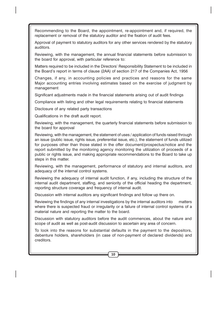Recommending to the Board, the appointment, re-appointment and, if required, the replacement or removal of the statutory auditor and the fixation of audit fees.

Approval of payment to statutory auditors for any other services rendered by the statutory auditors.

Reviewing, with the management, the annual financial statements before submission to the board for approval, with particular reference to:

Matters required to be included in the Directors' Responsibility Statement to be included in the Board's report in terms of clause (2AA) of section 217 of the Companies Act, 1956

Changes, if any, in accounting policies and practices and reasons for the same Major accounting entries involving estimates based on the exercise of judgment by management

Significant adjustments made in the financial statements arising out of audit findings

Compliance with listing and other legal requirements relating to financial statements

Disclosure of any related party transactions

Qualifications in the draft audit report.

Reviewing, with the management, the quarterly financial statements before submission to the board for approval

Reviewing, with the management, the statement of uses / application of funds raised through an issue (public issue, rights issue, preferential issue, etc.), the statement of funds utilized for purposes other than those stated in the offer document/prospectus/notice and the report submitted by the monitoring agency monitoring the utilization of proceeds of a public or rights issue, and making appropriate recommendations to the Board to take up steps in this matter.

Reviewing, with the management, performance of statutory and internal auditors, and adequacy of the internal control systems.

Reviewing the adequacy of internal audit function, if any, including the structure of the internal audit department, staffing, and seniority of the official heading the department, reporting structure coverage and frequency of internal audit.

Discussion with internal auditors any significant findings and follow up there on.

Reviewing the findings of any internal investigations by the internal auditors into matters where there is suspected fraud or irregularity or a failure of internal control systems of a material nature and reporting the matter to the board.

Discussion with statutory auditors before the audit commences, about the nature and scope of audit as well as post-audit discussion to ascertain any area of concern.

To look into the reasons for substantial defaults in the payment to the depositors, debenture holders, shareholders (in case of non-payment of declared dividends) and creditors.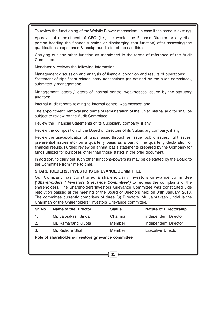To review the functioning of the Whistle Blower mechanism, in case if the same is existing.

Approval of appointment of CFO (i.e., the whole-time Finance Director or any other person heading the finance function or discharging that function) after assessing the qualifications, experience & background, etc. of the candidate.

Carrying out any other function as mentioned in the terms of reference of the Audit Committee.

Mandatorily reviews the following information:

Management discussion and analysis of financial condition and results of operations; Statement of significant related party transactions (as defined by the audit committee), submitted y management;

Management letters / letters of internal control weaknesses issued by the statutory auditors;

Internal audit reports relating to internal control weaknesses; and

The appointment, removal and terms of remuneration of the Chief internal auditor shall be subject to review by the Audit Committee

Review the Financial Statements of its Subsidiary company, if any.

Review the composition of the Board of Directors of its Subsidiary company, if any.

Review the use/application of funds raised through an issue (public issues, right issues, preferential issues etc) on a quarterly basis as a part of the quarterly declaration of financial results. Further, review on annual basis statements prepared by the Company for funds utilized for purposes other than those stated in the offer document.

In addition, to carry out such other functions/powers as may be delegated by the Board to the Committee from time to time.

## SHAREHOLDERS / INVESTORS GRIEVANCE COMMITTEE

Our Company has constituted a shareholder / investors grievance committee ("Shareholders / Investors Grievance Committee") to redress the complaints of the shareholders. The Shareholders/Investors Grievance Committee was constituted vide resolution passed at the meeting of the Board of Directors held on 04th January, 2013. The committee currently comprises of three (3) Directors. Mr. Jaiprakash Jindal is the Chairman of the Shareholders/ Investors Grievance committee.

| Sr. No. | <b>Name of the Director</b> | <b>Status</b> | <b>Nature of Directorship</b> |
|---------|-----------------------------|---------------|-------------------------------|
|         | Mr. Jaiprakash Jindal       | Chairman      | Independent Director          |
| 2.      | Mr. Ramanand Gupta          | Member        | Independent Director          |
| 3.      | Mr. Kishore Shah            | Member        | <b>Executive Director</b>     |

**11**

Role of shareholders/investors grievance committee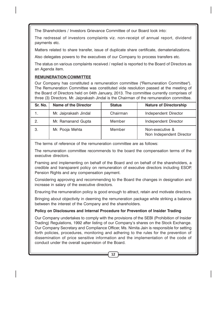The Shareholders / Investors Grievance Committee of our Board look into:

The redressal of investors complaints viz. non-receipt of annual report, dividend payments etc.

Matters related to share transfer, issue of duplicate share certificate, dematerializations.

Also delegates powers to the executives of our Company to process transfers etc.

The status on various complaints received / replied is reported to the Board of Directors as an Agenda item.

## REMUNERATION COMMITTEE

Our Company has constituted a remuneration committee ("Remuneration Committee"). The Remuneration Committee was constituted vide resolution passed at the meeting of the Board of Directors held on 04th January, 2013. The committee currently comprises of three (3) Directors. Mr. Jaiprakash Jindal is the Chairman of the remuneration committee.

| Sr. No. | <b>Name of the Director</b> | <b>Status</b> | <b>Nature of Directorship</b>               |
|---------|-----------------------------|---------------|---------------------------------------------|
|         | Mr. Jaiprakash Jindal       | Chairman      | Independent Director                        |
| 2.      | Mr. Ramanand Gupta          | Member        | Independent Director                        |
| 3.      | Mr. Pooja Mehta             | Member        | Non-executive &<br>Non Independent Director |

The terms of reference of the remuneration committee are as follows:

The remuneration committee recommends to the board the compensation terms of the executive directors.

Framing and implementing on behalf of the Board and on behalf of the shareholders, a credible and transparent policy on remuneration of executive directors including ESOP, Pension Rights and any compensation payment.

Considering approving and recommending to the Board the changes in designation and increase in salary of the executive directors.

Ensuring the remuneration policy is good enough to attract, retain and motivate directors.

Bringing about objectivity in deeming the remuneration package while striking a balance between the interest of the Company and the shareholders.

## Policy on Disclosures and Internal Procedure for Prevention of Insider Trading

Our Company undertakes to comply with the provisions of the SEBI (Prohibition of Insider Trading) Regulations, 1992 after listing of our Company's shares on the Stock Exchange. Our Company Secretary and Compliance Officer, Ms. Nimita Jain is responsible for setting forth policies, procedures, monitoring and adhering to the rules for the prevention of dissemination of price sensitive information and the implementation of the code of conduct under the overall supervision of the Board.

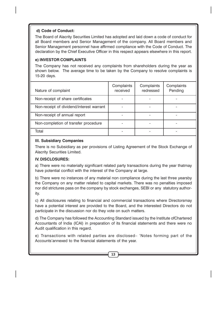## d) Code of Conduct:

The Board of Alacrity Securities Limited has adopted and laid down a code of conduct for all Board members and Senior Management of the company. All Board members and Senior Management personnel have affirmed compliance with the Code of Conduct. The declaration by the Chief Executive Officer in this respect appears elsewhere in this report.

## e) INVESTOR COMPLAINTS

The Company has not received any complaints from shareholders during the year as shown below. The average time to be taken by the Company to resolve complaints is 15-20 days.

| Nature of complaint                      | Complaints<br>received | Complaints<br>redressed | Complaints<br>Pending |
|------------------------------------------|------------------------|-------------------------|-----------------------|
| Non-receipt of share certificates        |                        |                         |                       |
| Non-receipt of dividend/interest warrant |                        |                         |                       |
| Non-receipt of annual report             |                        |                         |                       |
| Non-completion of transfer procedure     |                        |                         |                       |
| Total                                    |                        |                         |                       |

## III. Subsidiary Companies

There is no Subsidiary as per provisions of Listing Agreement of the Stock Exchange of Alacrity Securities Limited.

## IV. DISCLOSURES:

a) There were no materially significant related party transactions during the year thatmay have potential conflict with the interest of the Company at large.

b) There were no instances of any material non compliance during the last three yearsby the Company on any matter related to capital markets. There was no penalties imposed nor did strictures pass on the company by stock exchanges, SEBI or any statutory authority.

c) All disclosures relating to financial and commercial transactions where Directorsmay have a potential interest are provided to the Board, and the interested Directors do not participate in the discussion nor do they vote on such matters.

d) The Company has followed the Accounting Standard issued by the Institute ofChartered Accountants of India (ICAI) in preparation of its financial statements and there were no Audit qualification in this regard.

e) Transactions with related parties are disclosed- 'Notes forming part of the Accounts'annexed to the financial statements of the year.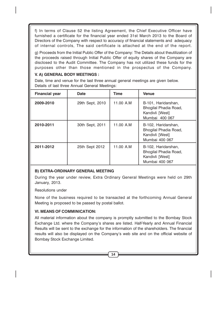f) In terms of Clause 52 the listing Agreement, the Chief Executive Officer have furnished a certificate for the financial year ended 31st March 2013 to the Board of Directors of the Company with respect to accuracy of financial statements and adequacy of internal controls, The said certificate is attached at the end of the report.

g) Proceeds from the Initial Public Offer of the Company: The Details about theutilization of the proceeds raised through Initial Public Offer of equity shares of the Company are disclosed to the Audit Committee. The Company has not utilized these funds for the purposes other than those mentioned in the prospectus of the Company.

## V. A) GENERAL BODY MEETINGS :

Date, time and venue for the last three annual general meetings are given below. Details of last three Annual General Meetings:

| <b>Financial year</b> | <b>Date</b>     | <b>Time</b> | <b>Venue</b>                                                                      |
|-----------------------|-----------------|-------------|-----------------------------------------------------------------------------------|
| 2009-2010             | 29th Sept, 2010 | 11.00 A.M   | B-101, Haridarshan,<br>Bhogilal Phadia Road,<br>Kandivli [West]<br>Mumbai 400 067 |
| 2010-2011             | 30th Sept, 2011 | 11.00 A.M   | B-102, Haridarshan,<br>Bhogilal Phadia Road,<br>Kandivli [West]<br>Mumbai 400 067 |
| 2011-2012             | 25th Sept 2012  | 11.00 A.M   | B-102, Haridarshan,<br>Bhogilal Phadia Road,<br>Kandivli [West]<br>Mumbai 400 067 |

## B) EXTRA-ORDINARY GENERAL MEETING

During the year under review, Extra Ordinary General Meetings were held on 29th January, 2013.

Resolutions under

None of the business required to be transacted at the forthcoming Annual General Meeting is proposed to be passed by postal ballot.

## VI. MEANS OF COMMINICATION:

All material information about the company is promptly submitted to the Bombay Stock Exchange Ltd. where the Company's shares are listed. Half-Yearly and Annual Financial Results will be sent to the exchange for the information of the shareholders. The financial results will also be displayed on the Company's web site and on the official website of Bombay Stock Exchange Limited.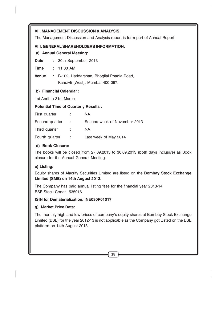# VII. MANAGEMENT DISCUSSION & ANALYSIS.

The Management Discussion and Analysis report is form part of Annual Report.

## VIII. GENERAL SHAREHOLDERS INFORMATION:

## a) Annual General Meeting:

- Date : 30th September, 2013
- Time : 11.00 AM
- Venue : B-102, Haridarshan, Bhogilal Phadia Road, Kandivli [West], Mumbai 400 067.

## b) Financial Calendar :

1st April to 31st March.

## Potential Time of Quarterly Results :

| First quarter  |        | NA.                          |
|----------------|--------|------------------------------|
| Second quarter | in Don | Second week of November 2013 |
| Third quarter  |        | NA.                          |
| Fourth quarter |        | Last week of May 2014        |

## d) Book Closure:

The books will be closed from 27.09.2013 to 30.09.2013 (both days inclusive) as Book closure for the Annual General Meeting.

## e) Listing:

Equity shares of Alacrity Securities Limited are listed on the Bombay Stock Exchange Limited (SME) on 14th August 2013.

The Company has paid annual listing fees for the financial year 2013-14. BSE Stock Codes: 535916

## ISIN for Dematerialization: INE030P01017

## g) Market Price Data:

The monthly high and low prices of company's equity shares at Bombay Stock Exchange Limited (BSE) for the year 2012-13 is not applicable as the Company got Listed on the BSE platform on 14th August 2013.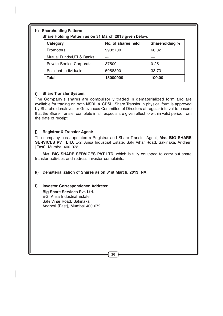## h) Shareholding Pattern:

Share Holding Pattern as on 31 March 2013 given below:

| Category                    | No. of shares held | <b>Shareholding %</b> |
|-----------------------------|--------------------|-----------------------|
| Promoters                   | 9903700            | 66.02                 |
| Mutual Funds/UTI & Banks    |                    |                       |
| Private Bodies Corporate    | 37500              | 0.25                  |
| <b>Resident Individuals</b> | 5058800            | 33.73                 |
| Total                       | 15000000           | 100.00                |

#### i) Share Transfer System:

The Company's shares are compulsorily traded in dematerialized form and are available for trading on both NSDL & CDSL. Share Transfer in physical form is approved by Shareholders/Investor Grievances Committee of Directors at regular interval to ensure that the Share Transfer complete in all respects are given effect to within valid period from the date of receipt.

#### j) Registrar & Transfer Agent:

The company has appointed a Registrar and Share Transfer Agent, M/s. BIG SHARE SERVICES PVT LTD. E-2, Ansa Industrial Estate, Saki Vihar Road, Sakinaka, Andheri [East], Mumbai 400 072.

M/s. BIG SHARE SERVICES PVT LTD, which is fully equipped to carry out share transfer activities and redress investor complaints.

k) Dematerialization of Shares as on 31st March, 2013: NA

#### l) Investor Correspondence Address:

Big Share Services Pvt. Ltd. E-2, Ansa Industrial Estate, Saki Vihar Road, Sakinaka, Andheri [East], Mumbai 400 072.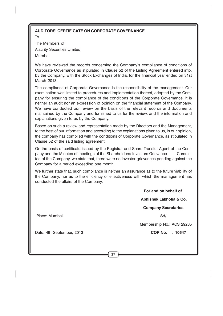## AUDITORS' CERTIFICATE ON CORPORATE GOVERNANCE

To The Members of Alacrity Securities Limited Mumbai

We have reviewed the records concerning the Company's compliance of conditions of Corporate Governance as stipulated in Clause 52 of the Listing Agreement entered into, by the Company, with the Stock Exchanges of India, for the financial year ended on 31st March 2013.

The compliance of Corporate Governance is the responsibility of the management. Our examination was limited to procedures and implementation thereof, adopted by the Company for ensuring the compliance of the conditions of the Corporate Governance. It is neither an audit nor an expression of opinion on the financial statement of the Company. We have conducted our review on the basis of the relevant records and documents maintained by the Company and furnished to us for the review, and the information and explanations given to us by the Company.

Based on such a review and representation made by the Directors and the Management, to the best of our information and according to the explanations given to us, in our opinion, the company has complied with the conditions of Corporate Governance, as stipulated in Clause 52 of the said listing agreement.

On the basis of certificate issued by the Registrar and Share Transfer Agent of the Company and the Minutes of meetings of the Shareholders/ Investors Grievance Committee of the Company, we state that, there were no investor grievances pending against the Company for a period exceeding one month.

We further state that, such compliance is neither an assurance as to the future viability of the Company, nor as to the efficiency or effectiveness with which the management has conducted the affairs of the Company.

For and on behalf of

Abhishek Lakhotia & Co.

Company Secretaries

Place: Mumbai Solid Solid Solid Solid Solid Solid Solid Solid Solid Solid Solid Solid Solid Solid Solid Solid Solid Solid Solid Solid Solid Solid Solid Solid Solid Solid Solid Solid Solid Solid Solid Solid Solid Solid Soli

Membership No.: ACS 29285

Date: 4th September, 2013 **COP No. : 10547**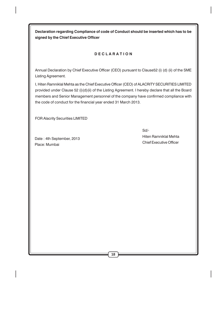Declaration regarding Compliance of code of Conduct should be inserted which has to be signed by the Chief Executive Officer

## D E C L A R A T I O N

Annual Declaration by Chief Executive Officer (CEO) pursuant to Clause52 (i) (d) (ii) of the SME Listing Agreement.

I, Hiten Ramniklal Mehta as the Chief Executive Officer (CEO) of ALACRITY SECURITIES LIMITED provided under Clause 52 (i)(d)(ii) of the Listing Agreement. I hereby declare that all the Board members and Senior Management personnel of the company have confirmed compliance with the code of conduct for the financial year ended 31 March 2013.

FOR Alacrity Securities LIMITED

Date : 4th September, 2013 Place: Mumbai

Sd/- Hiten Ramniklal Mehta Chief Executive Officer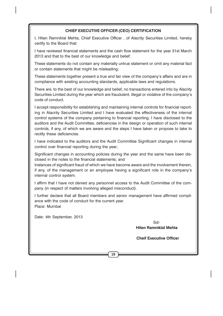## CHIEF EXECUTIVE OFFICER (CEO) CERTIFICATION

I, Hiten Ramniklal Mehta, Chief Executive Officer , of Alacrity Securities Limited, hereby certify to the Board that:

I have reviewed financial statements and the cash flow statement for the year 31st March 2013 and that to the best of our knowledge and belief:

These statements do not contain any materially untrue statement or omit any material fact or contain statements that might be misleading;

These statements together present a true and fair view of the company's affairs and are in compliance with existing accounting standards, applicable laws and regulations.

There are, to the best of our knowledge and belief, no transactions entered into by Alacrity Securities Limited during the year which are fraudulent, illegal or violative of the company's code of conduct.

I accept responsibility for establishing and maintaining internal controls for financial reporting in Alacrity Securities Limited and I have evaluated the effectiveness of the internal control systems of the company pertaining to financial reporting. I have disclosed to the auditors and the Audit Committee, deficiencies in the design or operation of such internal controls, if any, of which we are aware and the steps I have taken or propose to take to rectify these deficiencies.

I have indicated to the auditors and the Audit Committee Significant changes in internal control over financial reporting during the year;

Significant changes in accounting policies during the year and the same have been disclosed in the notes to the financial statements; and

Instances of significant fraud of which we have become aware and the involvement therein, if any, of the management or an employee having a significant role in the company's internal control system.

I affirm that I have not denied any personnel access to the Audit Committee of the company (in respect of matters involving alleged misconduct).

I further declare that all Board members and senior management have affirmed compliance with the code of conduct for the current year. Place: Mumbai

Date: 4th September, 2013

Sd/- Hiten Ramniklal Mehta

Cheif Executive Officer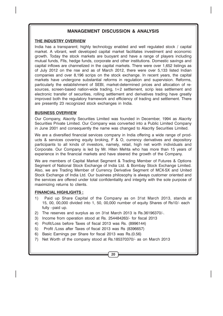## MANAGEMENT DISCUSSION & ANALYSIS

## THE INDUSTRY OVERVIEW

India has a transparent; highly technology enabled and well regulated stock / capital market. A vibrant, well developed capital market facilitates investment and economic growth. Today the stock markets are buoyant and have a range of players including mutual funds, FIIs, hedge funds, corporate and other institutions. Domestic savings and capital inflows are channelized in the capital markets. There were over 1,652 listings as of July 2012 on the nse and as of March 2012, there were over 5,133 listed Indian companies and over 8,196 scrips on the stock exchange. In recent years, the capital markets have undergone substantial reforms in regulation and supervision. Reforms, particularly the establishment of SEBI, market-determined prices and allocation of resources, screen-based nation-wide trading, t+2 settlement, scrip less settlement and electronic transfer of securities, rolling settlement and derivatives trading have greatly improved both the regulatory framework and efficiency of trading and settlement. There are presently 23 recognized stock exchanges in India.

## BUSINESS OVERVIEW

Our Company, Alacrity Securities Limited was founded in December, 1994 as Alacrity Securities Private Limited. Our Company was converted into a Public Limited Company in June 2001 and consequently the name was changed to Alacrity Securities Limited.

We are a diversified financial services company in India offering a wide range of products & services covering equity broking, F & O, currency derivatives and depository participants to all kinds of investors, namely, retail, high net worth individuals and Corporate. Our Company is led by Mr. Hiten Mehta who has more than 15 years of experience in the financial markets and have steered the growth of the Company.

We are members of Capital Market Segment & Trading Member of Futures & Options Segment of National Stock Exchange of India Ltd. & Bombay Stock Exchange Limited. Also, we are Trading Member of Currency Derivative Segment of MCX-SX and United Stock Exchange of India Ltd. Our business philosophy is always customer oriented and the services are offered under total confidentiality and integrity with the sole purpose of maximizing returns to clients.

## FINANCIAL HIGHLIGHTS :

- 1) Paid up Share Capital of the Company as on 31st March 2013, stands at 15, 00, 00,000 divided into 1, 50, 00,000 number of equity Shares of Rs10/- each fully -paid up.
- 2) The reserves and surplus as on 31st March 2013 is Rs.36196370/-.
- 3) Income from operation stood at Rs. 254484263/- for fiscal 2013
- 4) Profit/Loss before Taxes of fiscal 2013 was Rs. (8996144)
- 5) Profit /Loss after Taxes of fiscal 2013 was Rs (8396657)
- 6) Basic Earnings per Share for fiscal 2013 was Rs.(0.56)
- 7) Net Worth of the company stood at Rs.185370370/- as on March 2013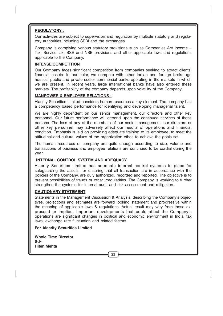## REGULATORY :

Our activities are subject to supervision and regulation by multiple statutory and regulatory authorities including SEBI and the exchanges.

Company is complying various statutory provisions such as Companies Act Income -Tax, Service tax, BSE and NSE provisions and other applicable laws and regulations applicable to the Company.

#### INTENSE COMPETITION

Our Company faces significant competition from companies seeking to attract clients financial assets. In particular, we compete with other Indian and foreign brokerage houses, public and private sector commercial banks operating in the markets in which we are present. In recent years, large international banks have also entered these markets. The profitability of the company depends upon volatility of the Company.

## MANPOWER & EMPLOYEE RELATIONS :

Alacrity Securities Limited considers human resources a key element. The company has a competency based performance for identifying and developing managerial talent.

We are highly dependent on our senior management, our directors and other key personnel. Our future performance will depend upon the continued services of these persons. The loss of any of the members of our senior management, our directors or other key personnel may adversely affect our results of operations and financial condition. Emphasis is laid on providing adequate training to its employee, to meet the attitudinal and cultural values of the organization ethos to achieve the goals set.

The human resources of company are quite enough according to size, volume and transactions of business and employee relations are continued to be cordial during the year.

## INTERNAL CONTROL SYSTEM AND ADEQUACY:

Alacrity Securities Limited has adequate internal control systems in place for safeguarding the assets, for ensuring that all transaction are in accordance with the policies of the Company, are duly authorized, recorded and reported. The objective is to prevent possibilities of frauds or other irregularities .The Company is working to further strengthen the systems for internal audit and risk assessment and mitigation.

#### CAUTIONARY STATEMENT

Statements in the Management Discussion & Analysis, describing the Company's objectives, projections and estimates are forward looking statement and progressive within the meaning of applicable laws & regulations. Actual result may vary from those expressed or implied. Important developments that could affect the Companys operations are significant changes in political and economic environment in India, tax laws, exchange rate fluctuation and related factors.

For Alacrity Securities Limited

Whole Time Director Sd/- Hiten Mehta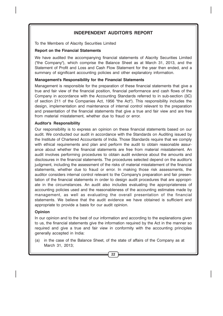## INDEPENDENT AUDITOR'S REPORT

To the Members of Alacrity Securities Limited

#### Report on the Financial Statements

We have audited the accompanying financial statements of Alacrity Securities Limited ("the Company"), which comprise the Balance Sheet as at March 31, 2013, and the Statement of Profit and Loss and Cash Flow Statement for the year then ended, and a summary of significant accounting policies and other explanatory information.

#### Management's Responsibility for the Financial Statements

Management is responsible for the preparation of these financial statements that give a true and fair view of the financial position, financial performance and cash flows of the Company in accordance with the Accounting Standards referred to in sub-section (3C) of section 211 of the Companies Act, 1956 "the Act"). This responsibility includes the design, implementation and maintenance of internal control relevant to the preparation and presentation of the financial statements that give a true and fair view and are free from material misstatement, whether due to fraud or error.

#### Auditor's Responsibility

Our responsibility is to express an opinion on these financial statements based on our audit. We conducted our audit in accordance with the Standards on Auditing issued by the Institute of Chartered Accountants of India. Those Standards require that we comply with ethical requirements and plan and perform the audit to obtain reasonable assurance about whether the financial statements are free from material misstatement. An audit involves performing procedures to obtain audit evidence about the amounts and disclosures in the financial statements. The procedures selected depend on the auditor's judgment, including the assessment of the risks of material misstatement of the financial statements, whether due to fraud or error. In making those risk assessments, the auditor considers internal control relevant to the Company's preparation and fair presentation of the financial statements in order to design audit procedures that are appropriate in the circumstances. An audit also includes evaluating the appropriateness of accounting policies used and the reasonableness of the accounting estimates made by management, as well as evaluating the overall presentation of the financial statements. We believe that the audit evidence we have obtained is sufficient and appropriate to provide a basis for our audit opinion.

## Opinion

In our opinion and to the best of our information and according to the explanations given to us, the financial statements give the information required by the Act in the manner so required and give a true and fair view in conformity with the accounting principles generally accepted in India:

(a) in the case of the Balance Sheet, of the state of affairs of the Company as at March 31, 2013;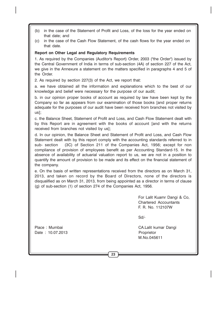- (b) in the case of the Statement of Profit and Loss, of the loss for the year ended on that date; and
- (c) in the case of the Cash Flow Statement, of the cash flows for the year ended on that date.

## Report on Other Legal and Regulatory Requirements

1. As required by the Companies (Auditor's Report) Order, 2003 ("the Order") issued by the Central Government of India in terms of sub-section (4A) of section 227 of the Act, we give in the Annexure a statement on the matters specified in paragraphs 4 and 5 of the Order.

2. As required by section 227(3) of the Act, we report that:

a. we have obtained all the information and explanations which to the best of our knowledge and belief were necessary for the purpose of our audit;

b. in our opinion proper books of account as required by law have been kept by the Company so far as appears from our examination of those books [and proper returns adequate for the purposes of our audit have been received from branches not visited by us];

c. the Balance Sheet, Statement of Profit and Loss, and Cash Flow Statement dealt with by this Report are in agreement with the books of account [and with the returns received from branches not visited by us];

d. In our opinion, the Balance Sheet and Statement of Profit and Loss, and Cash Flow Statement dealt with by this report comply with the accounting standards referred to in sub- section (3C) of Section 211 of the Companies Act, 1956; except for non compliance of provision of employees benefit as per Accounting Standard-15. In the absence of availability of actuarial valuation report to us, we are not in a position to quantify the amount of provision to be made and its effect on the financial statement of the company.

e. On the basis of written representations received from the directors as on March 31, 2013, and taken on record by the Board of Directors, none of the directors is disqualified as on March 31, 2013, from being appointed as a director in terms of clause (g) of sub-section (1) of section 274 of the Companies Act, 1956.

> For Lalit Kuamr Dangi & Co, Chartered Accountants F. R. No. 112107W

Sd/-

Place : Mumbai CA.Lalit kumar Dangi M.No.045611

Date : 10.07.2013 Proprietor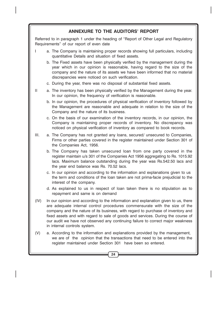## ANNEXURE TO THE AUDITORS' REPORT

Referred to in paragraph 1 under the heading of "Report of Other Legal and Regulatory Requirements" of our report of even date

- I a. The Company is maintaining proper records showing full particulars, including quantitative Details and situation of fixed assets.
	- b. The Fixed assets have been physically verified by the management during the year which in our opinion is reasonable, having regard to the size of the company and the nature of its assets we have been informed that no material discrepancies were noticed on such verification.
	- c. During the year, there was no disposal of substantial fixed assets.
- II a. The inventory has been physically verified by the Management during the year. In our opinion, the frequency of verification is reasonable.
	- b. In our opinion, the procedures of physical verification of inventory followed by the Management are reasonable and adequate in relation to the size of the Company and the nature of its business.
	- c. On the basis of our examination of the inventory records, in our opinion, the Company is maintaining proper records of inventory. No discrepancy was noticed on physical verification of inventory as compared to book records.
- III. a. The Company has not granted any loans, secured/ unsecured to Companies, Firms or other parties covered in the register maintained under Section 301 of the Companies Act, 1956.
	- b. The Company has taken unsecured loan from one party covered in the register maintain u/s 301 of the Companies Act 1956 aggregating to Rs. 1015.92 lacs. Maximum balance outstanding during the year was Rs.542.50 lacs and the year end balance was Rs. 70.52 lacs.
	- c. In our opinion and according to the information and explanations given to us the term and conditions of the loan taken are not prima-facie prejudicial to the interest of the company.
	- d. As explained to us in respect of loan taken there is no stipulation as to repayment and same is on demand
- (IV) In our opinion and according to the information and explanation given to us, there are adequate internal control procedures commensurate with the size of the company and the nature of its business, with regard to purchase of inventory and fixed assets and with regard to sale of goods and services. During the course of our audit we have not observed any continuing failure to correct major weakness in internal controls system.
- (V) a. According to the information and explanations provided by the management, we are of the opinion that the transactions that need to be entered into the register maintained under Section 301 have been so entered.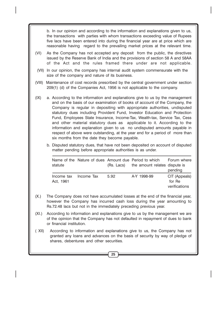b. In our opinion and according to the information and explanations given to us, the transactions with parties with whom transactions exceeding value of Rupees five lacs have been entered into during the financial year are at price which are reasonable having regard to the prevailing market prices at the relevant time.

- (VI) As the Company has not accepted any deposit from the public, the directives issued by the Reserve Bank of India and the provisions of section 58 A and 58AA of the Act and the rules framed there under are not applicable.
- (VII) In our opinion, the company has internal audit system commensurate with the size of the company and nature of its business.
- (VIII) Maintenance of cost records prescribed by the central government under section 209(1) (d) of the Companies Act, 1956 is not applicable to the company.
- (IX) a. According to the information and explanations give to us by the management and on the basis of our examination of books of account of the Company, the Company is regular in depositing with appropriate authorities, undisputed statutory dues including Provident Fund, Investor Education and Protection Fund, Employees State Insurance, Income-Tax, Wealth-tax, Service Tax, Cess and other material statutory dues as applicable to it. According to the information and explanation given to us no undisputed amounts payable in respect of above were outstanding, at the year end for a period of more than six months from the date they become payable.
	- b. Disputed statutory dues, that have not been deposited on account of disputed matter pending before appropriate authorities is as under.

| statute                            |      | Name of the Nature of dues Amount due Period to which Forum where<br>(Rs. Lacs) the amount relates dispute is | pending                                  |
|------------------------------------|------|---------------------------------------------------------------------------------------------------------------|------------------------------------------|
| Income tax Income Tax<br>Act, 1961 | 5.92 | A-Y 1998-99                                                                                                   | CIT (Appeals)<br>for Re<br>verifications |

- (X.) The Company does not have accumulated losses at the end of the financial year, however the Company has incurred cash loss during the year amounting to Rs.72.48 lacs but not in the immediately preceding previous year.
- (XI.) According to information and explanations give to us by the management we are of the opinion that the Company has not defaulted in repayment of dues to bank or financial institution.
- ( XII) According to information and explanations give to us, the Company has not granted any loans and advances on the basis of security by way of pledge of shares, debentures and other securities.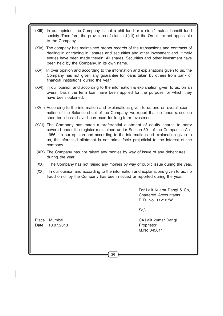- (XIII) In our opinion, the Company is not a chit fund or a nidhi/ mutual benefit fund society. Therefore, the provisions of clause 4(xiii) of the Order are not applicable to the Company.
- (XIV) The company has maintained proper records of the transactions and contracts of dealing in or trading in shares and securities and other investment and timely entries have been made therein. All shares, Securities and other investment have been held by the Company, in its own name.
- (XV) In over opinion and according to the information and explanations given to us, the Company has not given any guarantee for loans taken by others from bank or financial institutions during the year.
- (XVI) In our opinion and according to the information & explanation given to us, on an overall basis the term loan have been applied for the purpose for which they have been obtained.
- (XVII) According to the information and explanations given to us and on overall exami nation of the Balance sheet of the Company, we report that no funds raised on short-term basis have been used for long-term investment.
- (XVIII) The Company has made a preferential allotment of equity shares to party covered under the register maintained under Section 301 of the Companies Act, 1956. In our opinion and according to the information and explanation given to us, the aforesaid allotment is not prima facie prejudicial to the interest of the company.
- (XIX) The Company has not raised any monies by way of issue of any debentures during the year.
- (XX) The Company has not raised any monies by way of public issue during the year.
- (XXI) In our opinion and according to the information and explanations given to us, no fraud on or by the Company has been noticed or reported during the year.

For Lalit Kuamr Dangi & Co, Chartered Accountants F. R. No. 112107W

Sd/-

Date : 10.07.2013 Proprietor

Place : Mumbai CA.Lalit kumar Dangi M.No.045611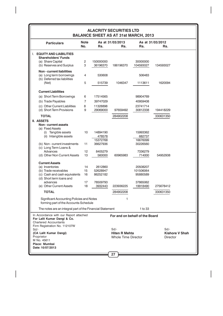| <b>ALACRITY SECURITIES LTD</b><br><b>BALANCE SHEET AS AT 31st MARCH, 2013</b>                                                                                                                                                            |                                   |                                                                 |                                                           |                                                                 |                                    |  |  |  |
|------------------------------------------------------------------------------------------------------------------------------------------------------------------------------------------------------------------------------------------|-----------------------------------|-----------------------------------------------------------------|-----------------------------------------------------------|-----------------------------------------------------------------|------------------------------------|--|--|--|
| <b>Particulars</b>                                                                                                                                                                                                                       | Note<br>No.                       | Rs.                                                             | As at 31/03/2013<br>Rs.                                   | Rs.                                                             | As at 31/03/2012<br>Rs.            |  |  |  |
| <b>EQUITY AND LIABILITIES</b><br>L.<br><b>Shareholders' Funds</b><br>(a) Share Capital<br>(b) Reserves and Surplus                                                                                                                       | $\overline{c}$<br>3               | 150000000<br>36196370                                           | 186196370                                                 | 30000000<br>104593027                                           | 134593027                          |  |  |  |
| <b>Non-current liabilities</b><br>(a) Long term borrowings<br>(b) Deferred tax liabilities<br>(Net)                                                                                                                                      | 4<br>5                            | 530608<br>515739                                                | 1046347                                                   | 506483<br>1113611                                               | 1620094                            |  |  |  |
| <b>Current Liabilities</b><br>(a) Short Term Borrowings<br>(b) Trade Payables<br>(c) Other Current Liabilities<br>(d) Short Term Provisions<br><b>TOTAL</b><br><b>II. ASSETS</b>                                                         | 6<br>$\overline{7}$<br>8<br>9     | 17514565<br>39747029<br>11328898<br>29069000                    | 97659492<br>284902208                                     | 98904769<br>40959408<br>23741714<br>30812338                    | 194418229<br>330631350             |  |  |  |
| Non - current assets<br>(a) Fixed Assets<br>(i) Tangible assets<br>(ii) Intangible assets<br>(b) Non - current investments<br>(c) Long Term Loans &<br>Advances<br>(d) Other Non Current Assets<br><b>Current Assets</b>                 | 10 <sup>°</sup><br>11<br>12<br>13 | 14894190<br>478578<br>15372768<br>36627936<br>8405279<br>560000 | 60965983                                                  | 15993362<br>682737<br>16676099<br>30226560<br>7336279<br>714000 | 54952938                           |  |  |  |
| (a) Inventories<br>(b) Trade receivables<br>(c) Cash and cash equivalents<br>(d) Short term loans and<br>advances<br>(e) Other Current Assets                                                                                            | 14<br>15<br>16<br>17<br>18        | 2612860<br>52628947<br>86252182<br>78509793<br>3932443          | 223936225                                                 | 20508207<br>101506064<br>95880589<br>37865062<br>19918490       | 275678412                          |  |  |  |
| <b>TOTAL</b>                                                                                                                                                                                                                             |                                   |                                                                 | 284902208                                                 |                                                                 | 330631350                          |  |  |  |
| Significant Accounting Policies and Notes<br>forming part of the Accounts-Schedule<br>The notes are an integral part of the Financial Statement                                                                                          |                                   |                                                                 | 1                                                         | 1 to 33                                                         |                                    |  |  |  |
| In Accordance with our Report attached<br>For Lalit Kumar Dangi & Co.<br><b>Chartered Accountants</b><br>Firm Registration No. 112107W<br>Sd<br>(CA Lalit Kumar Dangi)<br>Proprietor<br>M No. 45611<br>Place: Mumbai<br>Date: 10/07/2013 |                                   |                                                                 | Sd/-<br><b>Hiten R Mehta</b><br>Whole Time Director<br>27 | For and on behalf of the Board                                  | Sd/-<br>Kishore V Shah<br>Director |  |  |  |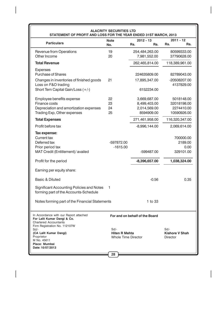| <b>ALACRITY SECURITIES LTD</b><br>STATEMENT OF PROFIT AND LOSS FOR THE YEAR ENDED 31ST MARCH, 2013                                |                                                       |                                |                                             |  |  |
|-----------------------------------------------------------------------------------------------------------------------------------|-------------------------------------------------------|--------------------------------|---------------------------------------------|--|--|
| <b>Particulars</b>                                                                                                                | <b>Note</b>                                           | $2012 - 13$<br>Rs.<br>Rs.      | $2011 - 12$<br>Rs.<br>Rs.                   |  |  |
| Revenue from Operations                                                                                                           | No.<br>19                                             | 254,484,263.00                 | 80599333.00                                 |  |  |
| Other Income                                                                                                                      | 20                                                    | 7,981,552.00                   | 37790628.00                                 |  |  |
| <b>Total Revenue</b>                                                                                                              |                                                       | 262,465,814.00                 | 118,389,961.00                              |  |  |
| <b>Expenses</b><br><b>Purchase of Shares</b>                                                                                      |                                                       | 224635809.00                   | 82789043.00                                 |  |  |
| Changes in inventories of finished goods<br>Loss on F&O trading                                                                   | 21                                                    | 17,895,347.00                  | -20508207.00<br>4137829.00                  |  |  |
| Short Tern Capital Gain/Loss (+/-)                                                                                                |                                                       | 6152234.00                     |                                             |  |  |
| Employee benefits expense                                                                                                         | 22                                                    | 3,669,687.00                   | 5018148.00                                  |  |  |
| Finance costs<br>Depreciation and amortization expenses                                                                           | 23<br>24                                              | 8,499,403.00<br>2,014,569.00   | 32018198.00<br>2274410.00                   |  |  |
| Trading Exp, Other expenses                                                                                                       | 25                                                    | 8594909.00                     | 10590926.00                                 |  |  |
| <b>Total Expenses</b>                                                                                                             |                                                       | 271,461,958.00                 | 116,320,347.00                              |  |  |
| Profit before tax                                                                                                                 |                                                       | $-8,996,144.00$                | 2,069,614.00                                |  |  |
| Tax expense:<br><b>Current tax</b><br>Deferred tax<br>Prior period tax<br>MAT Credit (Entitlement)/ availed                       | -597872.00<br>$-1615.00$                              | -599487.00                     | 700000.00<br>2189.00<br>0.00<br>329101.00   |  |  |
| Profit for the period                                                                                                             |                                                       | $-8,396,657.00$                | 1,038,324.00                                |  |  |
| Earning per equity share:                                                                                                         |                                                       |                                |                                             |  |  |
| <b>Basic &amp; Diluted</b>                                                                                                        |                                                       | $-0.56$                        | 0.35                                        |  |  |
| Significant Accounting Policies and Notes<br>forming part of the Accounts-Schedule                                                | 1                                                     |                                |                                             |  |  |
| Notes forming part of the Financial Statements                                                                                    |                                                       | 1 to 33                        |                                             |  |  |
| In Accordance with our Report attached<br>For Lalit Kumar Dangi & Co.<br><b>Chartered Accountants</b>                             |                                                       | For and on behalf of the Board |                                             |  |  |
| Firm Registration No. 112107W<br>Sd/-<br>(CA Lalit Kumar Dangi)<br>Proprietor<br>M No. 45611<br>Place: Mumbai<br>Date: 10/07/2013 | $Sd$ -<br><b>Hiten R Mehta</b><br>Whole Time Director |                                | $Sd$ -<br>Kishore V Shah<br><b>Director</b> |  |  |
|                                                                                                                                   | 28                                                    |                                |                                             |  |  |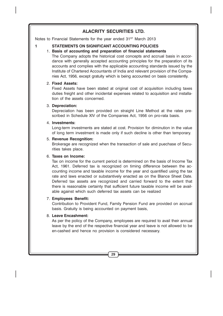# ALACRITY SECURITIES LTD.

Notes to Financial Statements for the year ended 31<sup>ST</sup> March 2013

## 1 STATEMENTS ON SIGNIFICANT ACCOUNTING POLICIES

## 1. Basis of accounting and preparation of financial statements

The Company adopts the historical cost concepts and accrual basis in accordance with generally accepted accounting principles for the preparation of its accounts and complies with the applicable accounting standards issued by the Institute of Chartered Accountants of India and relevant provision of the Companies Act, 1956, except gratuity which is being accounted on basis consistently.

## 2. Fixed Assets:

Fixed Assets have been stated at original cost of acquisition including taxes duties freight and other incidental expenses related to acquisition and installation of the assets concerned.

## 3. Depreciation:

Depreciation has been provided on straight Line Method at the rates prescribed in Schedule XIV of the Companies Act, 1956 on pro-rata basis.

## 4. Investments:

Long-term investments are stated at cost. Provision for diminution in the value of long term investment is made only if such decline is other than temporary.

## 5. Revenue Recognition:

Brokerage are recognized when the transaction of sale and puechase of Securities takes place.

## 6. Taxes on Income:

Tax on income for the current period is determined on the basis of Income Tax Act, 1961. Deferred tax is recognized on timing difference between the accounting income and taxable income for the year and quantified using the tax rate and laws enacted or substantively enacted as on the Blance Sheet Date. Deferred tax assets are recognized and carried forward to the extent that there is reasonable certainty that sufficient future taxable income will be available against which such deferred tax assets can be realized

## 7. Employees Benefit:

Contribution to Provident Fund, Family Pension Fund are provided on accrual basis. Gratuity is being accounted on payment basis,

## 8. Leave Encashment:

As per the policy of the Company, employees are required to avail their annual leave by the end of the respective financial year and leave is not allowed to be en-cashed and hence no provision is considered necessary.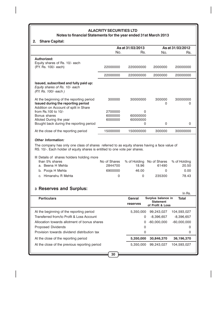## ALACRITY SECURITIES LTD

### Notes to financial Statements for the year ended 31st March 2013

#### 2. Share Capital:

| Ζ.<br>Share Capital:                                                                                                                                                       |              |                    |                                                            |                  |
|----------------------------------------------------------------------------------------------------------------------------------------------------------------------------|--------------|--------------------|------------------------------------------------------------|------------------|
|                                                                                                                                                                            |              | As at 31/03/2013   |                                                            | As at 31/03/2012 |
|                                                                                                                                                                            | No.          | Rs.                | No.                                                        | Rs.              |
| Authorized:                                                                                                                                                                |              |                    |                                                            |                  |
| Equity shares of Rs. 10/- each                                                                                                                                             |              |                    |                                                            |                  |
| (P.Y. Rs. 100/- each)                                                                                                                                                      | 22000000     | 220000000          | 2000000                                                    | 20000000         |
|                                                                                                                                                                            |              |                    |                                                            |                  |
|                                                                                                                                                                            | 22000000     | 220000000          | 2000000                                                    | 20000000         |
| Issued, subscribed and fully paid up:<br>Equity shares of Rs. 10/- each<br>(P.Y. Rs. 100/- each)                                                                           |              |                    |                                                            |                  |
| At the beginning of the reporting period<br>Issued during the reporting period<br>Addition on Account of split in Share                                                    | 300000       | 30000000           | 300000<br>0                                                | 30000000<br>0    |
| from $Rs.100$ to $10/-$                                                                                                                                                    | 2700000      | 0                  |                                                            |                  |
| Bonus shares                                                                                                                                                               | 6000000      | 60000000           |                                                            |                  |
| Alloted During the year                                                                                                                                                    | 6000000      | 60000000           |                                                            |                  |
| Bought back during the reporting period                                                                                                                                    |              | 0                  | 0                                                          | 0                |
| At the close of the reporting period                                                                                                                                       | 15000000     | 150000000          | 300000                                                     | 30000000         |
| <b>Other Information:</b>                                                                                                                                                  |              |                    |                                                            |                  |
| The company has only one class of shares referred to as equity shares having a face value of<br>RS. 10/-. Each holder of equity shares is entitled to one vote per shares. |              |                    |                                                            |                  |
| III Details of shares holders holding more                                                                                                                                 |              |                    |                                                            |                  |
| than 5% shares                                                                                                                                                             | No of Shares |                    | % of Holding No of Shares                                  | % of Holding     |
| a. Beena H Mehta                                                                                                                                                           | 2844700      | 18.96              | 61490                                                      | 20.50            |
| b. Pooja H Mehta                                                                                                                                                           | 6900000      | 46.00              | 0                                                          | 0.00             |
| c. Himanshu R Mehta                                                                                                                                                        | $\Omega$     | $\Omega$           | 235300                                                     | 78.43            |
|                                                                                                                                                                            |              |                    |                                                            |                  |
| 3 Reserves and Surplus:                                                                                                                                                    |              |                    |                                                            |                  |
|                                                                                                                                                                            |              |                    |                                                            | In Rs.           |
| <b>Particulars</b>                                                                                                                                                         |              | Genral<br>reserves | Surplus balance in<br><b>Statement</b><br>of Profit & Loss | <b>Total</b>     |
| At the beginning of the reporting period                                                                                                                                   |              | 5,350,000          | 99,243,027                                                 | 104,593,027      |
| Transferred from/to Profit & Loss Account                                                                                                                                  |              | 0                  | $-8,396,657$                                               | $-8,396,657$     |

**30**

Allocation towards allotment of bonus shares 0 -60,000,000 -60,000,000 -60,000,000 Proposed Dividends 0 0 Provision towards dividend distribution tax 0 0 At the close of the reporting period 5,350,000 30,846,370 36,196,370 At the close of the previous reporting period 5,350,000 99,243,027 104,593,027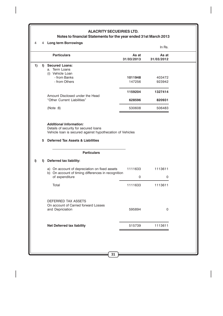## ALACRITY SECUEIRIES LTD.

# Notes to financial Statements for the year ended 31st March 2013

## **Borrowings**

|                    |                                                                                                                       |                     | In Rs.              |
|--------------------|-----------------------------------------------------------------------------------------------------------------------|---------------------|---------------------|
|                    | <b>Particulars</b>                                                                                                    | As at<br>31/03/2013 | As at<br>31/03/2012 |
| 1)<br>$\mathbf{D}$ | <b>Secured Loans:</b><br>a. Term Loans<br>(i) Vehicle Loan                                                            |                     |                     |
|                    | - from Banks<br>- from Others                                                                                         | 1011948<br>147256   | 403472<br>923942    |
|                    | Amount Disclosed under the Head                                                                                       | 1159204             | 1327414             |
|                    | "Other Current Liabilities"                                                                                           | 628596              | 820931              |
|                    | (Note:8)                                                                                                              | 530608              | 506483              |
| 5                  | <b>Deferred Tax Assets &amp; Liabilities</b><br><b>Particulars</b>                                                    |                     |                     |
| $\mathbf{I}$       | Deferred tax liability:                                                                                               |                     |                     |
|                    | a) On account of depreciation on fixed assets<br>b) On account of timing differences in recognition<br>of expenditure | 1111633<br>0        | 1113611<br>0        |
|                    | Total                                                                                                                 | 1111633             | 1113611             |
|                    | DEFERRED TAX ASSETS<br>On account of Carried forward Losses<br>and Depriciation                                       | 595894              | 0                   |
|                    | <b>Net Deferred tax liability</b>                                                                                     | 515739              | 1113611             |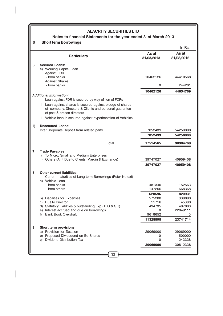## ALACRITY SECURITIES LTD

# Notes to financial Statements for the year ended 31st March 2013

| 6            | <b>Short term Borrowings</b>                                                                                          |                     |                     |
|--------------|-----------------------------------------------------------------------------------------------------------------------|---------------------|---------------------|
|              |                                                                                                                       |                     | In Rs.              |
|              | <b>Particulars</b>                                                                                                    | As at<br>31/03/2013 | As at<br>31/03/2012 |
| $\mathbf{I}$ | <b>Secured Loans:</b>                                                                                                 |                     |                     |
|              | a) Working Capital Loan                                                                                               |                     |                     |
|              | <b>Against FDR</b><br>- from banks                                                                                    | 10462126            | 44410568            |
|              | <b>Against Shares</b>                                                                                                 |                     |                     |
|              | - from banks                                                                                                          | 0                   | 244201              |
|              |                                                                                                                       | 10462126            | 44654769            |
|              | <b>Additional Information:</b>                                                                                        |                     |                     |
|              | Loan against FDR is secured by way of lien of FDRs<br>Ť.                                                              |                     |                     |
|              | iii Loan against shares is secured against pledge of shares<br>of company, Directors & Clients and personal guarantee |                     |                     |
|              | of past & presen directors                                                                                            |                     |                     |
|              | iii Vehicle loan is secured against hypothecation of Vehicles                                                         |                     |                     |
| $\parallel$  | <b>Unsecured Loans:</b>                                                                                               |                     |                     |
|              | Inter Corporate Deposit from related party                                                                            | 7052439             | 54250000            |
|              |                                                                                                                       | 7052439             | 54250000            |
|              | Total                                                                                                                 | 17514565            | 98904769            |
| 7            | <b>Trade Payables</b>                                                                                                 |                     |                     |
|              | To Micro, Small and Medium Enterprises<br>i)                                                                          |                     |                     |
|              | ii) Others (Amt Due to Clients, Margin & Exchange)                                                                    | 39747027            | 40959408            |
|              |                                                                                                                       | 39747027            | 40959408            |
| 8            | <b>Other current liabilities:</b>                                                                                     |                     |                     |
|              | Current maturities of Long-term Borrowings (Refer Note:6)                                                             |                     |                     |
|              | a) Vehicle Loan<br>- from banks                                                                                       | 481340              | 152563              |
|              | - from others                                                                                                         | 147256              | 668368              |
|              |                                                                                                                       | 628596              | 820931              |
|              | b) Liabilities for Expenses                                                                                           | 575200              | 338686              |
|              | c) Due to Director<br>d) Statutory Liablities & outstanding Exp (TDS & S.T)                                           | 11716<br>494735     | 45386<br>487600     |
|              | e) Interest accrued and due on borrowings                                                                             | 0                   | 22049111            |
|              | <b>Bank Book Overdraft</b><br>f)                                                                                      | 9618652             | 0                   |
|              |                                                                                                                       | 11328898            | 23741714            |
| 9            | Short term provisions:                                                                                                |                     |                     |
|              | a) Provision for Taxation                                                                                             | 29069000            | 29069000            |
|              | b) Proposed Dividedend on Eq Shares                                                                                   | 0                   | 1500000             |
|              | c) Dividend Distribution Tax                                                                                          | 0                   | 243338              |
|              |                                                                                                                       | 29069000            | 30812338            |
|              |                                                                                                                       |                     |                     |
|              | 32                                                                                                                    |                     |                     |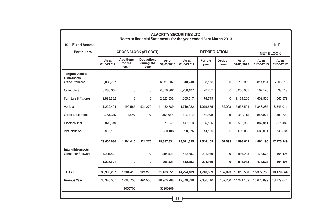| <b>ALACRITY SECURITIES LTD</b><br>Notes to financial Statements for the year ended 31st March 2013 |                                                     |                                     |                                         |                     |                     |                  |                 |                     |                     |                     |
|----------------------------------------------------------------------------------------------------|-----------------------------------------------------|-------------------------------------|-----------------------------------------|---------------------|---------------------|------------------|-----------------|---------------------|---------------------|---------------------|
| <b>Fixed Assets:</b><br>10                                                                         |                                                     |                                     |                                         |                     |                     |                  |                 |                     |                     | In Rs               |
| <b>Particulars</b>                                                                                 | <b>GROSS BLOCK (AT COST)</b><br><b>DEPRECIATION</b> |                                     |                                         |                     |                     | <b>NET BLOCK</b> |                 |                     |                     |                     |
|                                                                                                    | As at<br>01/04/2012                                 | <b>Additions</b><br>for the<br>year | <b>Deductions</b><br>during the<br>year | As at<br>31/03/2013 | As at<br>01/04/2012 | For the<br>vear  | Deduc-<br>tions | As at<br>31/03/2013 | As at<br>31/03/2013 | As at<br>31/03/2012 |
| <b>Tangible Assets</b><br><b>Own assets</b><br><b>Office Premises</b>                              | 6,023,207                                           | 0                                   | $\Omega$                                | 6,023,207           | 610,748             | 98,178           | $\mathbf 0$     | 708,926             | 5,314,281           | 5,608,815           |
| Computers                                                                                          | 6,390,962                                           | 0                                   | $\mathbf 0$                             | 6,390,962           | 6,260,137           | 23,702           | 0               | 6,283,839           | 107,123             | 99,719              |
| <b>Furniture &amp; Fixtures</b>                                                                    | 2,823,832                                           | 0                                   | $\Omega$                                | 2,823,832           | 1,005,517           | 178,749          | 0               | 1,184,266           | 1,639,566           | 1,566,879           |
| Vehicles                                                                                           | 11,202,494                                          | 1,199,565                           | 921,270                                 | 11,480,789          | 4,719,922           | 1,079,675        | 162,093         | 5,637,504           | 5,843,285           | 8,345,011           |
| Office Equipment                                                                                   | 1,363,236                                           | 4,850                               | 0                                       | 1,368,086           | 316,312             | 64,800           | 0               | 381,112             | 986,974             | 899,709             |
| <b>Electrical Inst</b>                                                                             | 870.849                                             | $\Omega$                            | $\Omega$                                | 870.849             | 447,813             | 55,125           | $\Omega$        | 502,938             | 367,911             | 511,482             |
| Air Condition                                                                                      | 930,106                                             | 0                                   | 0                                       | 930,106             | 250,875             | 44,180           | 0               | 295,055             | 635,051             | 743,534             |
|                                                                                                    | 29,604,686                                          | 1,204,415                           | 921,270                                 | 29,887,831          | 13,611,325          | 1,544,409        | 162,093         | 14,993,641          | 14,894,190          | 17,775,149          |
| Intangible assets<br><b>Computer Software</b>                                                      | 1,295,521                                           |                                     | 0                                       | 1,295,521           | 612,783             | 204,160          | 0               | 816,943             | 478,578             | 404,495             |
|                                                                                                    | 1,295,521                                           | $\mathbf 0$                         | $\mathbf{0}$                            | 1,295,521           | 612,783             | 204,160          | $\mathbf 0$     | 816,943             | 478,578             | 404,495             |
| <b>TOTAL</b>                                                                                       | 30,900,207                                          | 1,204,415                           | 921,270                                 | 31,183,351          | 14,224,109          | 1,748,569        | 162,093         | 15,810,587          | 15,372,768          | 18,179,644          |
| <b>Preious Year</b>                                                                                | 30,326,057                                          | 1,065,706                           | 491,555                                 | 30,900,208          | 12,340,399          | 2,036,410        | 152,700         | 14,224,109          | 16,676,099          | 18,179,644          |
|                                                                                                    |                                                     | 1065706                             |                                         | 30900208            |                     |                  |                 |                     |                     |                     |
|                                                                                                    |                                                     |                                     |                                         |                     | 33                  |                  |                 |                     |                     |                     |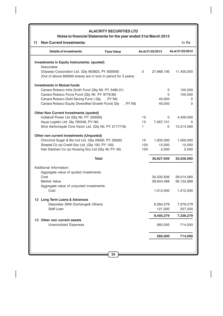|                                                                                                                     | <b>ALACRITY SECURITIES LTD</b>                                   |     |                  |                  |
|---------------------------------------------------------------------------------------------------------------------|------------------------------------------------------------------|-----|------------------|------------------|
| <b>Non Current Investments:</b><br>11                                                                               | Notes to financial Statements for the year ended 31st March 2013 |     |                  | In Rs            |
| <b>Details of Investments</b>                                                                                       | <b>Face Value</b>                                                |     | As at 31/03/2013 | As at 31/03/2012 |
| <b>Investments in Equity Instruments: (quoted)</b><br>Associates                                                    |                                                                  |     |                  |                  |
| Odyssey Corporation Ltd. (Qty 903923, PY. 600000)<br>(Out of above 600000 shares are in lock in period for 3 years) |                                                                  | 5   | 27,968,195       | 11,400,000       |
| <b>Investments in Mutual funds</b>                                                                                  |                                                                  |     |                  |                  |
| Canara Robeco Infra Groth Fund (Qty Nil. P.Y. 5485.31)                                                              |                                                                  |     | 0                | 100,000          |
| Canara Robeco Force Fund (Qty Nil P.Y. 9779.95)                                                                     |                                                                  |     | 0                | 100,000          |
| Canara Robeco Gold Saving Fund ( Qty , P.Y Nil)<br>Canara Robeco Equity Diversified Growth Fund( Qty                | , $PY$ Nil)                                                      |     | 40,000<br>40,000 | 0<br>0           |
|                                                                                                                     |                                                                  |     |                  |                  |
| <b>Other Non Current Investments (quoted)</b>                                                                       |                                                                  |     |                  |                  |
| Indiabull Power Ltd (Qty Nil, P.Y. 220000)                                                                          |                                                                  | 10  | 0                | 4,400,000        |
| Aqua Logistic Ltd. Qty 760346, P.Y. Nil)                                                                            |                                                                  | 10  | 7,567,741        | 0                |
| Shre Ashtvinayak Cine Vision Ltd. (Qty Nil, P.Y. 2117718)                                                           |                                                                  | 1.  | 0                | 13,214,560       |
| Other non current investments (Unquoted)                                                                            |                                                                  |     |                  |                  |
| Chincholi Sugar & Bio Ind Ltd. (Qty 25000, P.Y. 25000)                                                              |                                                                  | 10  | 1,000,000        | 1,000,000        |
| Sheetal Co op Credit Soc Ltd. (Qty 100, P.Y. 100)                                                                   |                                                                  | 100 | 10,000           | 10,000           |
| Hari Darshan Co op Housing Soc Ltd (Qty 40, P.Y. 40)                                                                |                                                                  | 100 | 2,000            | 2,000            |
|                                                                                                                     | Total                                                            |     | 36,627,936       | 30,226,560       |
| Additional Information:<br>Aggregate value of quoted investments:                                                   |                                                                  |     |                  |                  |
| Cost                                                                                                                |                                                                  |     | 35,535,936       | 29,014,560       |
| Market Value                                                                                                        |                                                                  |     | 38,643,468       | 36,152,899       |
| Aggregate value of unquoted investments:                                                                            |                                                                  |     |                  |                  |
| Cost                                                                                                                |                                                                  |     | 1,012,000        | 1,212,000        |
| 12 Long Term Loans & Advances                                                                                       |                                                                  |     |                  |                  |
| Deposites (With Exchange& Others)                                                                                   |                                                                  |     | 8,284,279        | 7,079,279        |
| Staff Loan                                                                                                          |                                                                  |     | 121,000          | 257,000          |
|                                                                                                                     |                                                                  |     | 8,405,279        | 7,336,279        |
| 13 Other non current assets<br><b>Unamortized Expenses</b>                                                          |                                                                  |     | 560,000          | 714,000          |
|                                                                                                                     |                                                                  |     | 560,000          | 714,000          |
|                                                                                                                     |                                                                  |     |                  |                  |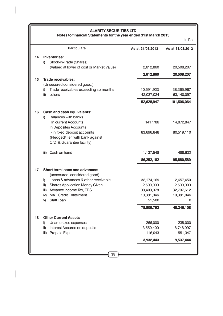|    | <b>ALARITY SECURITIES LTD</b><br>Notes to financial Statements for the year ended 31st March 2013 |                         |                          |  |  |  |  |
|----|---------------------------------------------------------------------------------------------------|-------------------------|--------------------------|--|--|--|--|
|    |                                                                                                   |                         | In Rs                    |  |  |  |  |
|    | <b>Particulars</b>                                                                                | As at 31/03/2013        | As at 31/03/2012         |  |  |  |  |
| 14 | <b>Inventories:</b>                                                                               |                         |                          |  |  |  |  |
|    | Stock-in-Trade (Shares)<br>i)                                                                     |                         |                          |  |  |  |  |
|    | (Valued at lower of cost or Market Value)                                                         | 2,612,860               | 20,508,207               |  |  |  |  |
| 15 | Trade receivables:                                                                                | 2,612,860               | 20,508,207               |  |  |  |  |
|    | (Unsecured considered good.)                                                                      |                         |                          |  |  |  |  |
|    | Trade receivables exceeding six months<br>i)                                                      | 10,591,923              | 38,365,967               |  |  |  |  |
|    | ii)<br>others                                                                                     | 42,037,024              | 63,140,097               |  |  |  |  |
|    |                                                                                                   | 52,628,947              | 101,506,064              |  |  |  |  |
| 16 | Cash and cash equivalents:                                                                        |                         |                          |  |  |  |  |
|    | <b>Balances with banks</b><br>i)                                                                  |                         |                          |  |  |  |  |
|    | In current Accounts                                                                               | 1417786                 | 14,872,847               |  |  |  |  |
|    | In Deposites Accounts                                                                             |                         |                          |  |  |  |  |
|    | - in fixed deposit accounts<br>(Pledged/ lien with bank against                                   | 83,696,848              | 80,519,110               |  |  |  |  |
|    | O/D & Guarantee facility)                                                                         |                         |                          |  |  |  |  |
|    |                                                                                                   |                         |                          |  |  |  |  |
|    | Cash on hand<br>iii)                                                                              | 1,137,548               | 488,632                  |  |  |  |  |
|    |                                                                                                   | 86,252,182              | 95,880,589               |  |  |  |  |
| 17 | <b>Short term loans and advances:</b>                                                             |                         |                          |  |  |  |  |
|    | (unsecured, considered good)                                                                      |                         |                          |  |  |  |  |
|    | Loans & advances & other receivable<br>i)                                                         | 32,174,169              | 2,657,450                |  |  |  |  |
|    | ii)<br><b>Shares Application Money Given</b><br>Advance Income Tax, TDS<br>iii)                   | 2,500,000<br>33,403,078 | 2,500,000                |  |  |  |  |
|    | <b>MAT Credit Entitelment</b><br>iv)                                                              | 10,381,046              | 32,707,612<br>10,381,046 |  |  |  |  |
|    | <b>Staff Loan</b><br>V)                                                                           | 51,500                  | 0                        |  |  |  |  |
|    |                                                                                                   | 78,509,793              | 48,246,108               |  |  |  |  |
|    |                                                                                                   |                         |                          |  |  |  |  |
| 18 | <b>Other Current Assets</b>                                                                       |                         |                          |  |  |  |  |
|    | Unamortized expenses<br>i)<br>Interest Accured on deposits<br>ii)                                 | 266,000<br>3,550,400    | 238,000<br>8,748,097     |  |  |  |  |
|    | iii)<br>Prepaid Exp                                                                               | 116,043                 | 551,347                  |  |  |  |  |
|    |                                                                                                   | 3,932,443               | 9,537,444                |  |  |  |  |
|    |                                                                                                   |                         |                          |  |  |  |  |
|    | 35                                                                                                |                         |                          |  |  |  |  |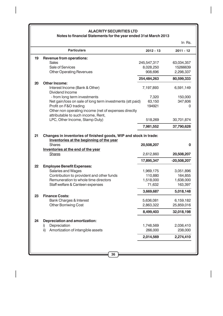|    |                                                                                                               |                      | In Rs.                                  |
|----|---------------------------------------------------------------------------------------------------------------|----------------------|-----------------------------------------|
|    | <b>Particulars</b>                                                                                            | $2012 - 13$          | $2011 - 12$                             |
| 19 | <b>Revenue from operations:</b>                                                                               |                      |                                         |
|    | Sales                                                                                                         | 245,547,317          | 63,034,357                              |
|    | Sale of Services                                                                                              | 8,028,250            | 15266639                                |
|    | <b>Other Operating Revenues</b>                                                                               | 908,696              | 2,298,337                               |
|    |                                                                                                               | 254,484,263          | 80,599,333                              |
| 20 | <b>Other Income:</b>                                                                                          |                      |                                         |
|    | Interest Income (Bank & Other)<br>Dividend Income                                                             | 7,197,893            | 6,591,149                               |
|    | - from long term investments                                                                                  | 7,320                | 150,000                                 |
|    | Net gain/loss on sale of long term investments (stt paid)                                                     | 63,150               | 347,606                                 |
|    | Profit on F&O trading                                                                                         | 194921               | 0                                       |
|    | Other non operating income (net of expenses directly                                                          |                      |                                         |
|    | attributable to such income, Rent,                                                                            |                      |                                         |
|    | LPC, Other Income, Stamp Duty)                                                                                | 518,269              | 30,701,874                              |
|    |                                                                                                               | 7,981,552            | 37,790,628                              |
| 21 | Changes in inventories of finished goods, WIP and stock in trade:<br>Inventories at the beginning of the year |                      |                                         |
|    | <b>Shares</b><br>Inventories at the end of the year                                                           | 20,508,207           |                                         |
|    | <b>Shares</b>                                                                                                 | 2,612,860            |                                         |
|    |                                                                                                               | 17,895,347           | $\bf{0}$<br>20,508,207<br>$-20,508,207$ |
| 22 | <b>Employee Benefit Expenses:</b>                                                                             |                      |                                         |
|    | Salaries and Wages                                                                                            | 1,969,175            | 3,051,896                               |
|    | Contribution to provident and other funds                                                                     | 110,880              | 164,855                                 |
|    | Remuneration to whole time directors<br>Staff welfare & Canteen expenses                                      | 1,518,000<br>71,632  | 1,638,000<br>163,397                    |
|    |                                                                                                               | 3,669,687            |                                         |
| 23 | <b>Finance Costs:</b>                                                                                         |                      | 5,018,148                               |
|    | Bank Charges & Interest                                                                                       | 5,636,081            | 6,159,182                               |
|    | <b>Other Borriwing Cost</b>                                                                                   | 2,863,322            |                                         |
|    |                                                                                                               | 8,499,403            | 25,859,016<br>32,018,198                |
|    |                                                                                                               |                      |                                         |
| 24 | <b>Depreciation and amortization:</b>                                                                         |                      |                                         |
|    | Depreciation<br>i)<br>Amortization of intangible assets<br>ii)                                                | 1,748,569<br>266,000 | 2,036,410<br>238,000                    |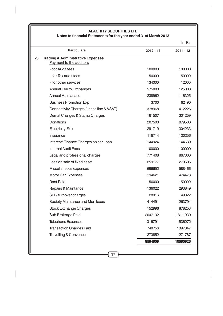## ALACRITY SECURITIES LTD

# Notes to financial Statements for the year ended 31st March 2013

|    |                                                                         |             | In Rs.      |
|----|-------------------------------------------------------------------------|-------------|-------------|
|    | <b>Particulars</b>                                                      | $2012 - 13$ | $2011 - 12$ |
| 25 | <b>Trading &amp; Administrative Expenses</b><br>Payment to the auditors |             |             |
|    | - for Audit fees                                                        | 100000      | 100000      |
|    | - for Tax audit fees                                                    | 50000       | 50000       |
|    | - for other services                                                    | 134000      | 12000       |
|    | Annual Fee to Exchanges                                                 | 575000      | 125000      |
|    | <b>Annual Maintanace</b>                                                | 238962      | 116325      |
|    | <b>Business Promotion Exp</b>                                           | 3700        | 62490       |
|    | Connectivity Charges (Lease line & VSAT)                                | 378968      | 412226      |
|    | Demat Charges & Stamp Charges                                           | 161507      | 301259      |
|    | Donations                                                               | 207500      | 879500      |
|    | <b>Electricity Exp</b>                                                  | 291719      | 304233      |
|    | Insurance                                                               | 118714      | 120256      |
|    | Interest/Finance Charges on car Loan                                    | 144924      | 144639      |
|    | <b>Internal Audit Fees</b>                                              | 100000      | 100000      |
|    | Legal and professional charges                                          | 771408      | 867000      |
|    | Loss on sale of fixed asset                                             | 259177      | 279505      |
|    | Miscellaneous expenses                                                  | 696652      | 588466      |
|    | Motor Car Expenses                                                      | 194621      | 474473      |
|    | <b>Rent Paid</b>                                                        | 50000       | 150000      |
|    | Repairs & Maintance                                                     | 136022      | 293849      |
|    | SEBI turnover charges                                                   | 28016       | 49822       |
|    | Society Maintance and Mun taxes                                         | 414491      | 263794      |
|    | <b>Stock Exchange Charges</b>                                           | 152996      | 878253      |
|    | Sub Brokrage Paid                                                       | 2047132     | 1,811,930   |
|    | <b>Telephone Expenses</b>                                               | 316791      | 536272      |
|    | <b>Transaction Charges Paid</b>                                         | 748756      | 1397847     |
|    | <b>Travelling &amp; Convence</b>                                        | 273852      | 271787      |
|    |                                                                         | 8594909     | 10590926    |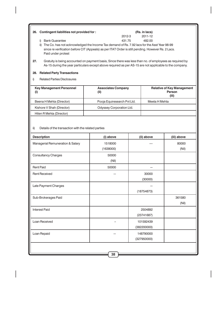| Contingent liabilities not provided for :<br>(Rs. in lacs)<br>26.<br>2012-3<br>2011-12<br>i) Bank Guarantee<br>431.75<br>482.00<br>ii) The Co. has not acknowledged the Income Tax demand of Rs. 7.92 lacs for the Asst Year 98-99<br>since re verification before CIT (Appeals) as per ITAT Order is still pending. However Rs. 2 Lacs.<br>Paid under protest |                                   |                          |                                                      |  |  |  |
|----------------------------------------------------------------------------------------------------------------------------------------------------------------------------------------------------------------------------------------------------------------------------------------------------------------------------------------------------------------|-----------------------------------|--------------------------|------------------------------------------------------|--|--|--|
| 27.<br>Gratuity is being accounted on payment basis, Since there was less than no. of employees as required by<br>As-15 during the year particulars except above required as per AS-15 are not applicable to the company.                                                                                                                                      |                                   |                          |                                                      |  |  |  |
| <b>Related Party Transactions</b><br>28.                                                                                                                                                                                                                                                                                                                       |                                   |                          |                                                      |  |  |  |
| <b>Related Parties Disclosures</b><br>i)                                                                                                                                                                                                                                                                                                                       |                                   |                          |                                                      |  |  |  |
| <b>Key Management Personnel</b><br>(i)                                                                                                                                                                                                                                                                                                                         | <b>Associates Company</b><br>(ii) |                          | <b>Relative of Key Management</b><br>Person<br>(iii) |  |  |  |
| Beena H Mehta (Director)                                                                                                                                                                                                                                                                                                                                       | Pooja Equiresearch Pvt Ltd.       |                          | Meeta H Mehta                                        |  |  |  |
| Kishore V Shah (Director)                                                                                                                                                                                                                                                                                                                                      | Odyssey Corporation Ltd.          |                          |                                                      |  |  |  |
| Hiten R Mehta (Director)                                                                                                                                                                                                                                                                                                                                       |                                   |                          |                                                      |  |  |  |
| Details of the transaction with the related parties<br>ii)                                                                                                                                                                                                                                                                                                     |                                   |                          |                                                      |  |  |  |
| <b>Description</b>                                                                                                                                                                                                                                                                                                                                             | (i) above                         | (ii) above               | (iii) above                                          |  |  |  |
| Managerial Remuneration & Salary                                                                                                                                                                                                                                                                                                                               | 1518000<br>(1638000)              |                          | 80000<br>(Nil)                                       |  |  |  |
| <b>Consultancy Charges</b>                                                                                                                                                                                                                                                                                                                                     | 50000<br>(Nil)                    |                          |                                                      |  |  |  |
| <b>Rent Paid</b>                                                                                                                                                                                                                                                                                                                                               | 50000                             |                          |                                                      |  |  |  |
| <b>Rent Received</b>                                                                                                                                                                                                                                                                                                                                           |                                   | 30000<br>(30000)         |                                                      |  |  |  |
| Late Payment Charges                                                                                                                                                                                                                                                                                                                                           |                                   | (18754873)               |                                                      |  |  |  |
| Sub-Brokerages Paid                                                                                                                                                                                                                                                                                                                                            |                                   |                          | 361580<br>(Nil)                                      |  |  |  |
| <b>Interest Paid</b>                                                                                                                                                                                                                                                                                                                                           |                                   | 2504892<br>(23741687)    |                                                      |  |  |  |
| Loan Received                                                                                                                                                                                                                                                                                                                                                  |                                   | 101592439<br>(382200000) |                                                      |  |  |  |
| Loan Repaid                                                                                                                                                                                                                                                                                                                                                    |                                   | 148790000<br>(327950000) |                                                      |  |  |  |
|                                                                                                                                                                                                                                                                                                                                                                |                                   |                          |                                                      |  |  |  |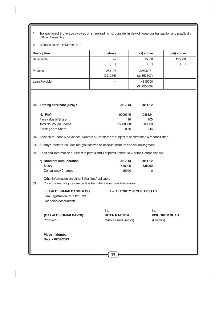- Transaction of Brokerage involved on share trading not consider in view of numerous transaction and practically difficult to qusntify
- iii) Balance as on 31<sup>st</sup> March 2013

| <b>Description</b> | (i) above | (ii) above | (iii) above |
|--------------------|-----------|------------|-------------|
| Receivable         |           | 15000      | 125000      |
|                    | ------    | (----)     | (-----)     |
| Payable            | 255106    | 22505071   |             |
|                    | (221356)  | (21853107) |             |
| Loan Payable       | ---       | 4815000    |             |
|                    |           | (54250000) |             |

| 29. Earning per Share (EPD): | 2012-13  | 2011-12 |
|------------------------------|----------|---------|
| Net Profit                   | -9009345 | 1038324 |
| Face value of Share          | 10       | 100     |
| Total No. issued Shares      | 15000000 | 300000  |
| Earnings pre Share           | $-0.60$  | 3.46    |

30. Balance of Loans & Advances, Debtors & Creditors are subject to confirmation & reconciliation.

31. Sundry Creditors includes margin received on account of future and option segment.

32. Additional information pursuant to para 3 and 4 of part II Schedule VI of the Companies Act

| 2011-12 | 2012-13 | a) Directors Remuneration |  |
|---------|---------|---------------------------|--|
| 1638000 | 1518000 | Salarv                    |  |
|         | 45000   | Consultancy Charges       |  |

Other information are either Nil or Not Applicable

33. Previous year's figures are reclassified where ever found necessary.

For LALIT KUMAR DANGI & CO. For ALACRITY SECURITIES LTD.

Firm Registration No. 112107W Chartered Accountants

(CA LALIT KUMAR DANGI) HITEN R MEHTA KISHORE V. SHAH

 $Sd$ - $Sd$ -Proprietor (Whole Time Director) (Director)

Place :- Mumbai Date :- 10/07/2013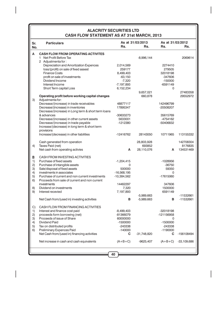## ALACRITY SECURITIES LTD CASH FLOW STATEMENT AS AT 31st MARCH, 2013

| Sr.<br>No.              | <b>Particulars</b>                                                  | Rs.           | As at 31/03/2013<br>Rs.      | As at 31/03/2012<br>Rs. | Rs.                      |
|-------------------------|---------------------------------------------------------------------|---------------|------------------------------|-------------------------|--------------------------|
| A                       | <b>CASH FLOW FROM OPERATING ACTIVITES</b>                           |               |                              |                         |                          |
|                         | 1 Net Profit Before Tax                                             |               | $-8,996,144$                 |                         | 2069614                  |
|                         | 2 Adjustmenta for:                                                  |               |                              |                         |                          |
|                         | Depreciation and Amortization Expences                              | 2,014,569     |                              | 2274410                 |                          |
|                         | loss/(profit) on sale of fixed assest                               | 259177        |                              | 279505                  |                          |
|                         | <b>Finance Costs</b>                                                | 8,499,403     |                              | 32018198                |                          |
|                         | profit on sale of investments                                       | $-63,150$     |                              | $-347606$               |                          |
|                         | Dividend Income                                                     | $-7,320$      |                              | $-150000$               |                          |
|                         | Interest Income                                                     | $-7,197,893$  |                              | $-6591149$              |                          |
|                         | Short Term capital Loss                                             | 6,152,234     | 9,657,021                    | 0                       | 27483358                 |
| 3)                      | Operating profit before working capital changes<br>Adjustmenta for: |               | 660,878                      |                         | 29552972                 |
|                         | Decrease/(increase) in trade receivables                            | 48877117      |                              | 142496799               |                          |
|                         | Decrease/(increase) in inventories                                  | 17895347      |                              | -20508207               |                          |
|                         | Decrease/(increase) in Long term & short term loans                 |               |                              |                         |                          |
|                         | & advances                                                          | -30633273     |                              | 35615769                |                          |
|                         | Decrease/(increase) in other current assets                         | 5633001       |                              | -4754162                |                          |
|                         | Decrease/(increase) in trade payable                                | $-1212380$    |                              | -50406832               |                          |
|                         | Increase/(decrease) in long term & short term                       |               |                              |                         |                          |
|                         | provisions<br>Increase/(decrease) in other liabilities              | -12416762     | 28143050                     | 10711965                | 113155332                |
|                         | Cash generated from operation                                       |               | 28,803,928                   |                         | 142708304                |
| 4)                      | Taxes Paid (net)<br>Net cash from operating activies                | A             | 693852                       | A                       | 8176835<br>134531469     |
|                         |                                                                     |               | 28,110,076                   |                         |                          |
| $\overline{\mathbf{B}}$ | CASH FROM INVESTING ACTIVITIES                                      |               |                              |                         |                          |
| 1)                      | Purchase of fixed assets                                            | $-1,204,415$  |                              | $-1028956$              |                          |
| 2)                      | Purchase of intangible assets                                       | 0             |                              | $-36750$                |                          |
| 3)                      | Sale/disposal of fixed assets                                       | 500000        |                              | 59350                   |                          |
| 4)                      | investments in associates                                           | $-16,568,195$ |                              | 0                       |                          |
| 5)                      | Purchase of current and non current investments                     | $-10,384,562$ |                              | -17615060               |                          |
| 6)                      | Proceeds from sale of current and non current                       |               |                              |                         |                          |
|                         | investments                                                         | 14462297      |                              | 347606                  |                          |
| 8)                      | Dividend on investments                                             | 7,320         |                              | 1500000                 |                          |
| 9)                      | Interest recevied                                                   | 7,197,893     |                              | 6591149                 |                          |
|                         | Net Cash from/(used in) investing activities                        | в             | $-5,989,663$<br>$-5,989,663$ | в                       | -11532661<br>$-11532661$ |
|                         |                                                                     |               |                              |                         |                          |
| C)                      | CASH FLOW FROM FINANCING ACTIVITIES                                 |               |                              |                         |                          |
| 1)                      | Interest and finance cost paid                                      | $-8,499,403$  |                              | -32018198               |                          |
| 2)                      | proceeds form borrowing (net)                                       | -81366079     |                              | -121156958              |                          |
| 3)                      | Proceeds of issue of Share                                          | 60000000      |                              | 0                       |                          |
| 4)                      | <b>Dividend Paid</b>                                                | $-1500000$    |                              | $-1500000$              |                          |
| 5)                      | Tax on distributed profits                                          | -243338       |                              | $-243338$               |                          |
| 6)                      | Preliminary Expences Paid                                           | $-140000$     |                              | $-1190000$              |                          |
|                         | Net Cash from/(used in) financing activities                        | C             | $-31,748,820$                | C                       | -156108494               |
|                         | Net increase in cash and cash equivalents                           | $(A+B+C)$     | $-9625,407$                  | $(A+B+C)$               | $-33,109,686$            |
|                         |                                                                     |               |                              |                         |                          |
|                         |                                                                     | 40            |                              |                         |                          |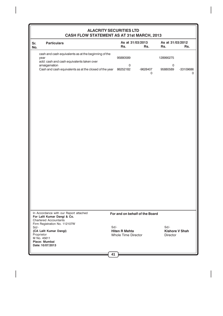| <b>ALACRITY SECURITIES LTD</b><br>CASH FLOW STATEMENT AS AT 31st MARCH, 2013 |                                                                                                                                                                                     |                                                             |                         |                            |                                |  |
|------------------------------------------------------------------------------|-------------------------------------------------------------------------------------------------------------------------------------------------------------------------------------|-------------------------------------------------------------|-------------------------|----------------------------|--------------------------------|--|
| Sr.<br>No.                                                                   | <b>Particulars</b>                                                                                                                                                                  | Rs.                                                         | As at 31/03/2013<br>Rs. |                            | As at 31/03/2012<br>Rs.<br>Rs. |  |
|                                                                              | cash and cash equivalents as at the beginning of the<br>year<br>add: cash and cash equivalents taken over<br>amaigamation<br>Cash and cash equivalents as at the closed of the year | 95880589<br>$\mathbf 0$<br>86252182                         | -9628407                | 128990275<br>0<br>95880589 | -33109686                      |  |
|                                                                              | In Accordance with our Report attached<br>For Lalit Kumar Dangi & Co.<br><b>Chartered Accountants</b>                                                                               | For and on behalf of the Board                              | 0                       |                            | 0                              |  |
| $Sd$ -                                                                       | Firm Registration No. 112107W<br>(CA Lalit Kumar Dangi)<br>Proprietor<br>M No. 45611<br>Place: Mumbai<br>Date: 10/07/2013                                                           | $Sd$ -<br><b>Hiten R Mehta</b><br>Whole Time Director<br>41 |                         | $Sd$ -<br><b>Director</b>  | <b>Kishore V Shah</b>          |  |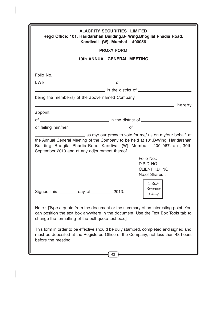| <b>ALACRITY SECURITIES LIMITED</b><br>Regd Office: 101, Haridarshan Building, B- Wing, Bhogilal Phadia Road,<br>Kandivali (W), Mumbai - 400056                                                                                                                                                          |                                  |  |  |
|---------------------------------------------------------------------------------------------------------------------------------------------------------------------------------------------------------------------------------------------------------------------------------------------------------|----------------------------------|--|--|
| <b>PROXY FORM</b>                                                                                                                                                                                                                                                                                       |                                  |  |  |
| <b>19th ANNUAL GENERAL MEETING</b>                                                                                                                                                                                                                                                                      |                                  |  |  |
|                                                                                                                                                                                                                                                                                                         |                                  |  |  |
| Folio No.                                                                                                                                                                                                                                                                                               |                                  |  |  |
|                                                                                                                                                                                                                                                                                                         |                                  |  |  |
|                                                                                                                                                                                                                                                                                                         |                                  |  |  |
| being the member(s) of the above named Company _________________________________                                                                                                                                                                                                                        |                                  |  |  |
|                                                                                                                                                                                                                                                                                                         | hereby hereby                    |  |  |
|                                                                                                                                                                                                                                                                                                         |                                  |  |  |
|                                                                                                                                                                                                                                                                                                         |                                  |  |  |
|                                                                                                                                                                                                                                                                                                         |                                  |  |  |
| as my/ our proxy to vote for me/ us on my/our behalf, at<br>the Annual General Meeting of the Company to be held at 101, B-Wing, Haridarshan<br>Building, Bhogilal Phadia Road, Kandivali (W), Mumbai - 400 067. on, 30th<br>September 2013 and at any adjournment thereof.<br>Folio No.:<br>D.P.ID NO: |                                  |  |  |
|                                                                                                                                                                                                                                                                                                         | CLIENT I.D. NO:<br>No.of Shares: |  |  |
| Signed this<br>_________day of_<br>2013.                                                                                                                                                                                                                                                                | $1$ Rs./-<br>Revenue<br>stamp    |  |  |
| Note: [Type a quote from the document or the summary of an interesting point. You<br>can position the text box anywhere in the document. Use the Text Box Tools tab to<br>change the formatting of the pull quote text box.]                                                                            |                                  |  |  |
| This form in order to be effective should be duly stamped, completed and signed and<br>must be deposited at the Registered Office of the Company, not less than 48 hours<br>before the meeting.                                                                                                         |                                  |  |  |
| 42                                                                                                                                                                                                                                                                                                      |                                  |  |  |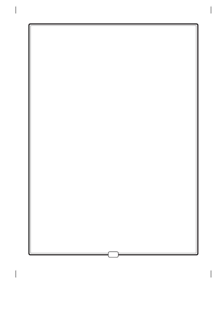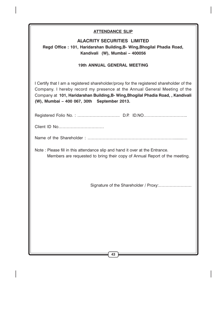## ATTENDANCE SLIP

# ALACRITY SECURITIES LIMITED Regd Office : 101, Haridarshan Building,B- Wing,Bhogilal Phadia Road, Kandivali (W), Mumbai - 400056

## 19th ANNUAL GENERAL MEETING

I Certify that I am a registered shareholder/proxy for the registered shareholder of the Company. I hereby record my presence at the Annual General Meeting of the Company at 101, Haridarshan Building,B- Wing,Bhogilal Phadia Road, , Kandivali (W), Mumbai - 400 067, 30th September 2013.

Registered Folio No. : . D.P. ID.NO..

Client ID No

Name of the Shareholder : ........

Note : Please fill in this attendance slip and hand it over at the Entrance. Members are requested to bring their copy of Annual Report of the meeting.

Signature of the Shareholder / Proxy: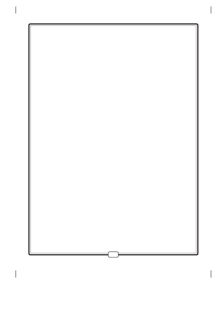